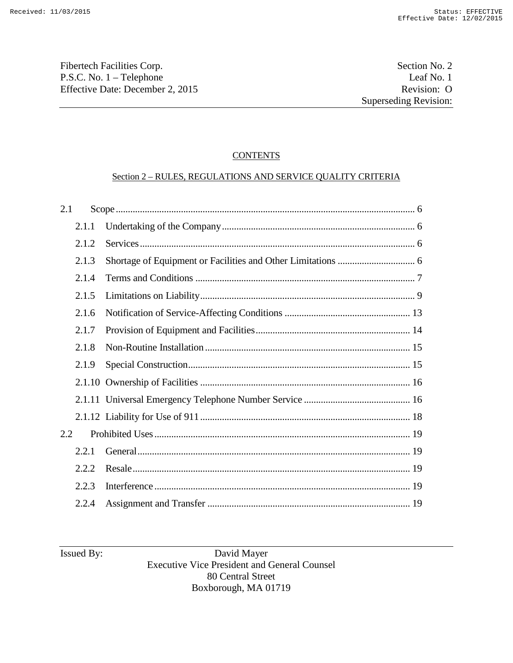Fibertech Facilities Corp. Section No. 2 P.S.C. No. 1 – Telephone Leaf No. 1<br>Effective Date: December 2, 2015 Revision: O Effective Date: December 2, 2015

#### **CONTENTS**

#### Section 2 – RULES, REGULATIONS AND SERVICE QUALITY CRITERIA

| 2.1 |        |  |
|-----|--------|--|
|     | 2.1.1  |  |
|     | 2.1.2  |  |
|     | 2.1.3  |  |
|     | 2.1.4  |  |
|     | 2.1.5  |  |
|     | 2.1.6  |  |
|     | 2.1.7  |  |
|     | 2.1.8  |  |
|     | 2.1.9  |  |
|     |        |  |
|     |        |  |
|     |        |  |
| 2.2 |        |  |
|     | 2.2.1  |  |
|     | 2.2.2. |  |
|     | 2.2.3  |  |
|     | 2.2.4  |  |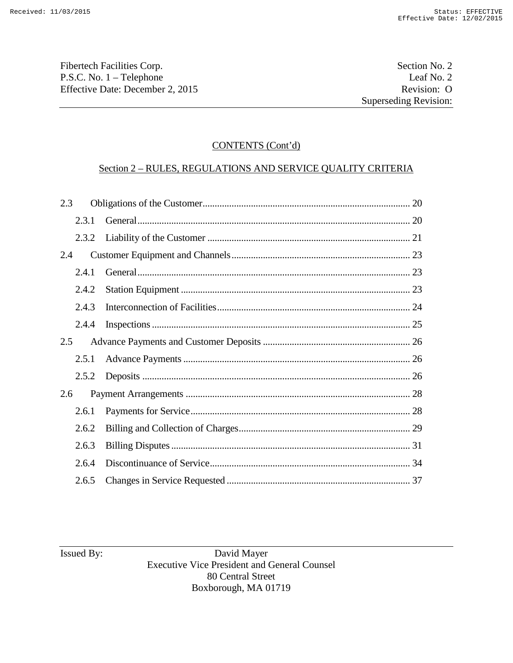Fibertech Facilities Corp.<br>
P.S.C. No. 1 – Telephone Leaf No. 2 P.S.C. No. 1 – Telephone Leaf No. 2<br>Effective Date: December 2, 2015 Revision: O Effective Date: December 2, 2015

# CONTENTS (Cont'd)

# Section 2 – RULES, REGULATIONS AND SERVICE QUALITY CRITERIA

| 2.3 |       |  |
|-----|-------|--|
|     | 2.3.1 |  |
|     | 2.3.2 |  |
| 2.4 |       |  |
|     | 2.4.1 |  |
|     | 2.4.2 |  |
|     | 2.4.3 |  |
|     | 2.4.4 |  |
| 2.5 |       |  |
|     | 2.5.1 |  |
|     | 2.5.2 |  |
| 2.6 |       |  |
|     | 2.6.1 |  |
|     | 2.6.2 |  |
|     | 2.6.3 |  |
|     | 2.6.4 |  |
|     | 2.6.5 |  |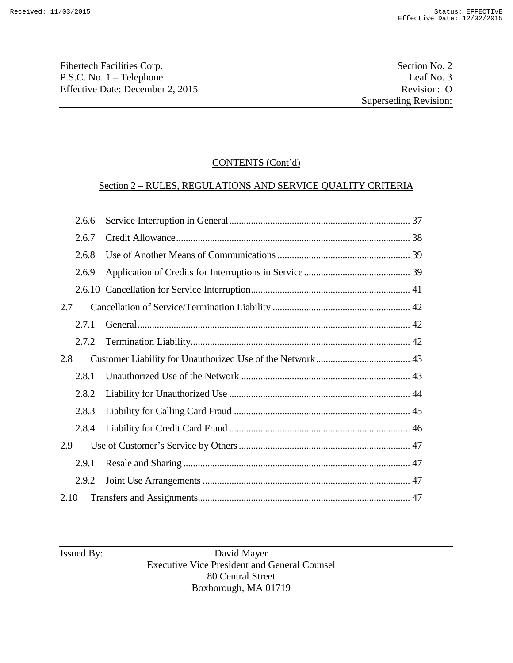Fibertech Facilities Corp.<br>
P.S.C. No. 1 – Telephone Leaf No. 3 P.S.C. No. 1 – Telephone Leaf No. 3<br>Effective Date: December 2, 2015 Revision: O Effective Date: December 2, 2015

# CONTENTS (Cont'd)

# Section 2 – RULES, REGULATIONS AND SERVICE QUALITY CRITERIA

|      | 2.6.6 |  |
|------|-------|--|
|      | 2.6.7 |  |
|      | 2.6.8 |  |
|      | 2.6.9 |  |
|      |       |  |
| 2.7  |       |  |
|      | 2.7.1 |  |
|      | 2.7.2 |  |
| 2.8  |       |  |
|      | 2.8.1 |  |
|      | 2.8.2 |  |
|      | 2.8.3 |  |
|      | 2.8.4 |  |
| 2.9  |       |  |
|      | 2.9.1 |  |
|      | 2.9.2 |  |
| 2.10 |       |  |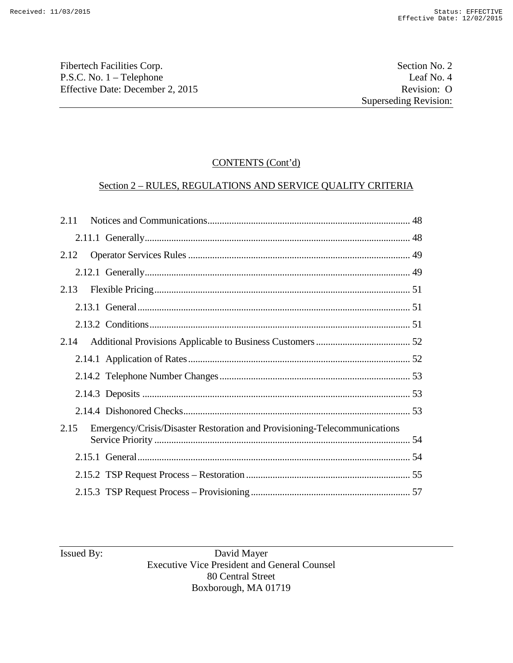Fibertech Facilities Corp. Section No. 2 P.S.C. No. 1 – Telephone Leaf No. 4<br>Effective Date: December 2, 2015 Revision: O Effective Date: December 2, 2015

# CONTENTS (Cont'd)

# Section 2 – RULES, REGULATIONS AND SERVICE QUALITY CRITERIA

| 2.11 |                                                                           |  |
|------|---------------------------------------------------------------------------|--|
|      |                                                                           |  |
| 2.12 |                                                                           |  |
|      |                                                                           |  |
| 2.13 |                                                                           |  |
|      |                                                                           |  |
|      |                                                                           |  |
| 2.14 |                                                                           |  |
|      |                                                                           |  |
|      |                                                                           |  |
|      |                                                                           |  |
|      |                                                                           |  |
| 2.15 | Emergency/Crisis/Disaster Restoration and Provisioning-Telecommunications |  |
|      |                                                                           |  |
|      |                                                                           |  |
|      |                                                                           |  |
|      |                                                                           |  |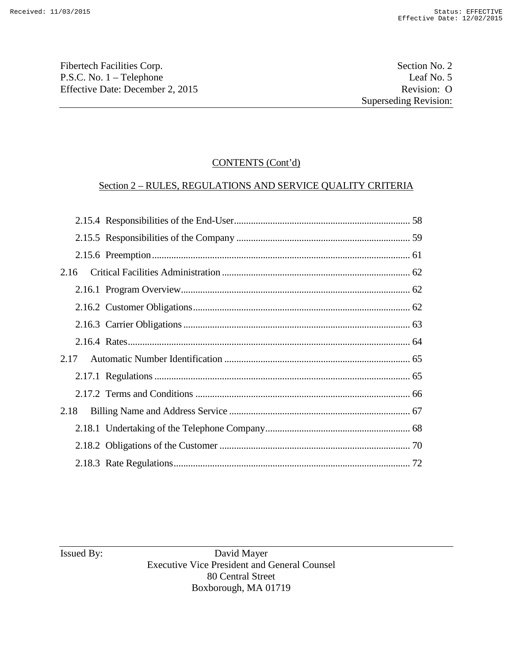Fibertech Facilities Corp.<br>
P.S.C. No. 1 – Telephone Leaf No. 5 P.S.C. No. 1 – Telephone Leaf No. 5<br>Effective Date: December 2, 2015 Revision: O Effective Date: December 2, 2015

# CONTENTS (Cont'd)

# Section 2 – RULES, REGULATIONS AND SERVICE QUALITY CRITERIA

| 2.16 |  |  |
|------|--|--|
|      |  |  |
|      |  |  |
|      |  |  |
|      |  |  |
|      |  |  |
|      |  |  |
|      |  |  |
| 2.18 |  |  |
|      |  |  |
|      |  |  |
|      |  |  |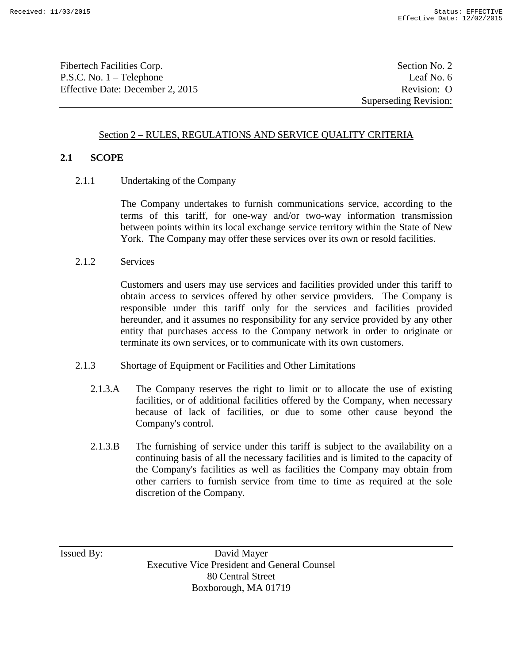Fibertech Facilities Corp. Section No. 2 P.S.C. No. 1 – Telephone Leaf No. 6 Effective Date: December 2, 2015 Revision: O

#### Section 2 – RULES, REGULATIONS AND SERVICE QUALITY CRITERIA

#### **2.1 SCOPE**

2.1.1 Undertaking of the Company

The Company undertakes to furnish communications service, according to the terms of this tariff, for one-way and/or two-way information transmission between points within its local exchange service territory within the State of New York. The Company may offer these services over its own or resold facilities.

2.1.2 Services

Customers and users may use services and facilities provided under this tariff to obtain access to services offered by other service providers. The Company is responsible under this tariff only for the services and facilities provided hereunder, and it assumes no responsibility for any service provided by any other entity that purchases access to the Company network in order to originate or terminate its own services, or to communicate with its own customers.

- 2.1.3 Shortage of Equipment or Facilities and Other Limitations
	- 2.1.3.A The Company reserves the right to limit or to allocate the use of existing facilities, or of additional facilities offered by the Company, when necessary because of lack of facilities, or due to some other cause beyond the Company's control.
	- 2.1.3.B The furnishing of service under this tariff is subject to the availability on a continuing basis of all the necessary facilities and is limited to the capacity of the Company's facilities as well as facilities the Company may obtain from other carriers to furnish service from time to time as required at the sole discretion of the Company.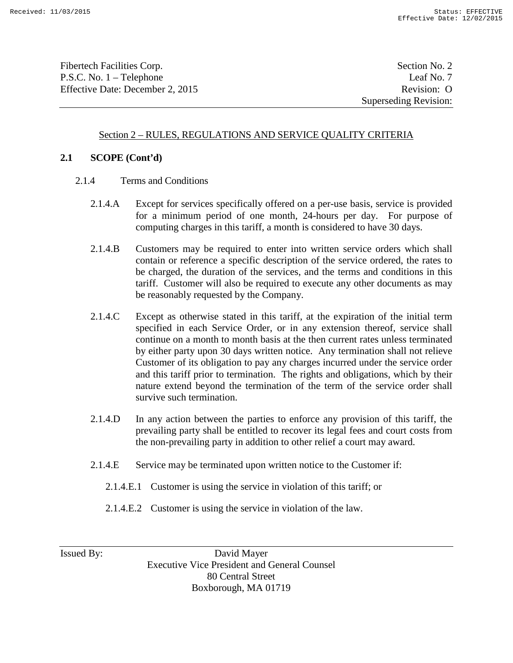Fibertech Facilities Corp. Section No. 2 P.S.C. No. 1 – Telephone Leaf No. 7 Effective Date: December 2, 2015 Revision: O

Superseding Revision:

#### Section 2 – RULES, REGULATIONS AND SERVICE QUALITY CRITERIA

## **2.1 SCOPE (Cont'd)**

- 2.1.4 Terms and Conditions
	- 2.1.4.A Except for services specifically offered on a per-use basis, service is provided for a minimum period of one month, 24-hours per day. For purpose of computing charges in this tariff, a month is considered to have 30 days.
	- 2.1.4.B Customers may be required to enter into written service orders which shall contain or reference a specific description of the service ordered, the rates to be charged, the duration of the services, and the terms and conditions in this tariff. Customer will also be required to execute any other documents as may be reasonably requested by the Company.
	- 2.1.4.C Except as otherwise stated in this tariff, at the expiration of the initial term specified in each Service Order, or in any extension thereof, service shall continue on a month to month basis at the then current rates unless terminated by either party upon 30 days written notice. Any termination shall not relieve Customer of its obligation to pay any charges incurred under the service order and this tariff prior to termination. The rights and obligations, which by their nature extend beyond the termination of the term of the service order shall survive such termination.
	- 2.1.4.D In any action between the parties to enforce any provision of this tariff, the prevailing party shall be entitled to recover its legal fees and court costs from the non-prevailing party in addition to other relief a court may award.
	- 2.1.4.E Service may be terminated upon written notice to the Customer if:
		- 2.1.4.E.1 Customer is using the service in violation of this tariff; or
		- 2.1.4.E.2 Customer is using the service in violation of the law.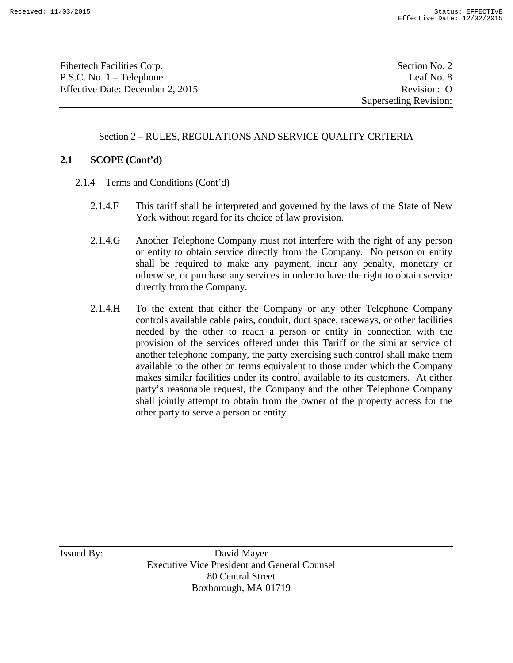Fibertech Facilities Corp. Section No. 2 P.S.C. No. 1 – Telephone Leaf No. 8 Effective Date: December 2, 2015 Revision: O

## Section 2 – RULES, REGULATIONS AND SERVICE QUALITY CRITERIA

#### **2.1 SCOPE (Cont'd)**

- 2.1.4 Terms and Conditions (Cont'd)
	- 2.1.4.F This tariff shall be interpreted and governed by the laws of the State of New York without regard for its choice of law provision.
	- 2.1.4.G Another Telephone Company must not interfere with the right of any person or entity to obtain service directly from the Company. No person or entity shall be required to make any payment, incur any penalty, monetary or otherwise, or purchase any services in order to have the right to obtain service directly from the Company.
	- 2.1.4.H To the extent that either the Company or any other Telephone Company controls available cable pairs, conduit, duct space, raceways, or other facilities needed by the other to reach a person or entity in connection with the provision of the services offered under this Tariff or the similar service of another telephone company, the party exercising such control shall make them available to the other on terms equivalent to those under which the Company makes similar facilities under its control available to its customers. At either party's reasonable request, the Company and the other Telephone Company shall jointly attempt to obtain from the owner of the property access for the other party to serve a person or entity.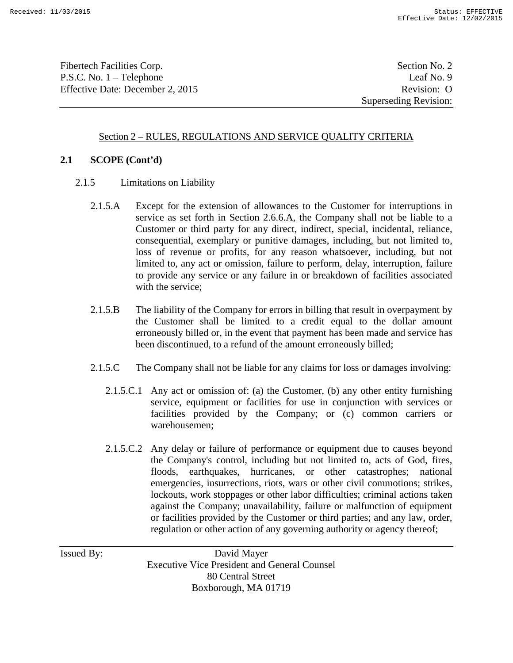Fibertech Facilities Corp. Section No. 2 P.S.C. No. 1 – Telephone Leaf No. 9 Effective Date: December 2, 2015 Revision: O

Superseding Revision:

## Section 2 – RULES, REGULATIONS AND SERVICE QUALITY CRITERIA

#### **2.1 SCOPE (Cont'd)**

- 2.1.5 Limitations on Liability
	- 2.1.5.A Except for the extension of allowances to the Customer for interruptions in service as set forth in Section 2.6.6.A, the Company shall not be liable to a Customer or third party for any direct, indirect, special, incidental, reliance, consequential, exemplary or punitive damages, including, but not limited to, loss of revenue or profits, for any reason whatsoever, including, but not limited to, any act or omission, failure to perform, delay, interruption, failure to provide any service or any failure in or breakdown of facilities associated with the service:
	- 2.1.5.B The liability of the Company for errors in billing that result in overpayment by the Customer shall be limited to a credit equal to the dollar amount erroneously billed or, in the event that payment has been made and service has been discontinued, to a refund of the amount erroneously billed;
	- 2.1.5.C The Company shall not be liable for any claims for loss or damages involving:
		- 2.1.5.C.1 Any act or omission of: (a) the Customer, (b) any other entity furnishing service, equipment or facilities for use in conjunction with services or facilities provided by the Company; or (c) common carriers or warehousemen;
		- 2.1.5.C.2 Any delay or failure of performance or equipment due to causes beyond the Company's control, including but not limited to, acts of God, fires, floods, earthquakes, hurricanes, or other catastrophes; national emergencies, insurrections, riots, wars or other civil commotions; strikes, lockouts, work stoppages or other labor difficulties; criminal actions taken against the Company; unavailability, failure or malfunction of equipment or facilities provided by the Customer or third parties; and any law, order, regulation or other action of any governing authority or agency thereof;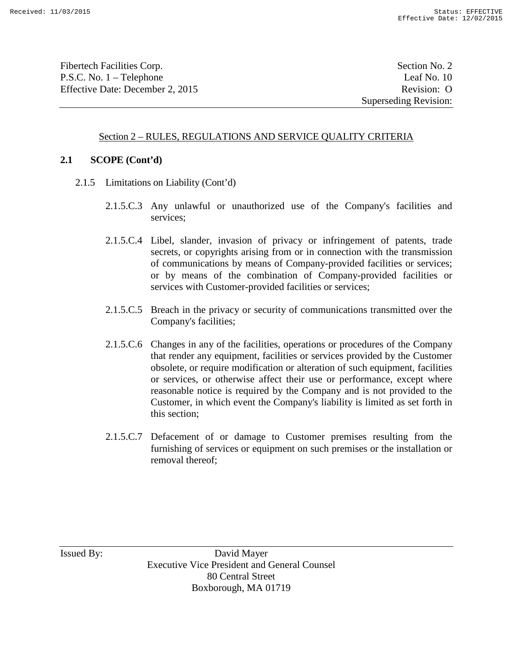Fibertech Facilities Corp. Section No. 2 P.S.C. No. 1 – Telephone Leaf No. 10 Effective Date: December 2, 2015 Revision: O

Superseding Revision:

## Section 2 – RULES, REGULATIONS AND SERVICE QUALITY CRITERIA

#### **2.1 SCOPE (Cont'd)**

- 2.1.5 Limitations on Liability (Cont'd)
	- 2.1.5.C.3 Any unlawful or unauthorized use of the Company's facilities and services;
	- 2.1.5.C.4 Libel, slander, invasion of privacy or infringement of patents, trade secrets, or copyrights arising from or in connection with the transmission of communications by means of Company-provided facilities or services; or by means of the combination of Company-provided facilities or services with Customer-provided facilities or services;
	- 2.1.5.C.5 Breach in the privacy or security of communications transmitted over the Company's facilities;
	- 2.1.5.C.6 Changes in any of the facilities, operations or procedures of the Company that render any equipment, facilities or services provided by the Customer obsolete, or require modification or alteration of such equipment, facilities or services, or otherwise affect their use or performance, except where reasonable notice is required by the Company and is not provided to the Customer, in which event the Company's liability is limited as set forth in this section;
	- 2.1.5.C.7 Defacement of or damage to Customer premises resulting from the furnishing of services or equipment on such premises or the installation or removal thereof;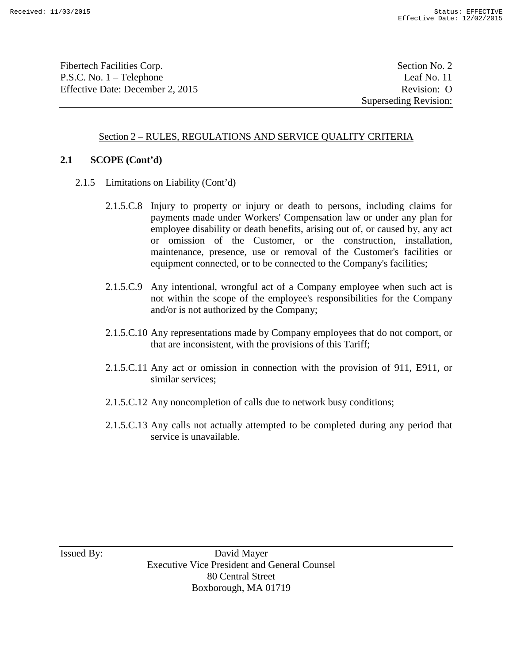Fibertech Facilities Corp. Section No. 2 P.S.C. No. 1 – Telephone Leaf No. 11 Effective Date: December 2, 2015 Revision: O

Superseding Revision:

## Section 2 – RULES, REGULATIONS AND SERVICE QUALITY CRITERIA

#### **2.1 SCOPE (Cont'd)**

- 2.1.5 Limitations on Liability (Cont'd)
	- 2.1.5.C.8 Injury to property or injury or death to persons, including claims for payments made under Workers' Compensation law or under any plan for employee disability or death benefits, arising out of, or caused by, any act or omission of the Customer, or the construction, installation, maintenance, presence, use or removal of the Customer's facilities or equipment connected, or to be connected to the Company's facilities;
	- 2.1.5.C.9 Any intentional, wrongful act of a Company employee when such act is not within the scope of the employee's responsibilities for the Company and/or is not authorized by the Company;
	- 2.1.5.C.10 Any representations made by Company employees that do not comport, or that are inconsistent, with the provisions of this Tariff;
	- 2.1.5.C.11 Any act or omission in connection with the provision of 911, E911, or similar services;
	- 2.1.5.C.12 Any noncompletion of calls due to network busy conditions;
	- 2.1.5.C.13 Any calls not actually attempted to be completed during any period that service is unavailable.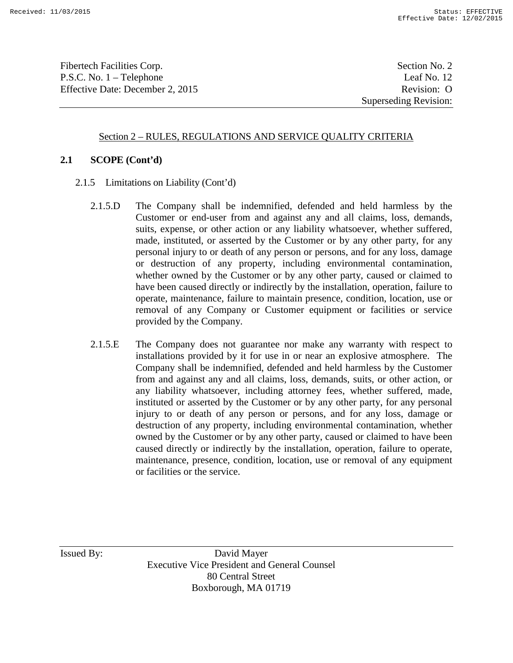Fibertech Facilities Corp. Section No. 2 P.S.C. No. 1 – Telephone Leaf No. 12 Effective Date: December 2, 2015 Revision: O

Superseding Revision:

#### Section 2 – RULES, REGULATIONS AND SERVICE QUALITY CRITERIA

#### **2.1 SCOPE (Cont'd)**

- 2.1.5 Limitations on Liability (Cont'd)
	- 2.1.5.D The Company shall be indemnified, defended and held harmless by the Customer or end-user from and against any and all claims, loss, demands, suits, expense, or other action or any liability whatsoever, whether suffered, made, instituted, or asserted by the Customer or by any other party, for any personal injury to or death of any person or persons, and for any loss, damage or destruction of any property, including environmental contamination, whether owned by the Customer or by any other party, caused or claimed to have been caused directly or indirectly by the installation, operation, failure to operate, maintenance, failure to maintain presence, condition, location, use or removal of any Company or Customer equipment or facilities or service provided by the Company.
	- 2.1.5.E The Company does not guarantee nor make any warranty with respect to installations provided by it for use in or near an explosive atmosphere. The Company shall be indemnified, defended and held harmless by the Customer from and against any and all claims, loss, demands, suits, or other action, or any liability whatsoever, including attorney fees, whether suffered, made, instituted or asserted by the Customer or by any other party, for any personal injury to or death of any person or persons, and for any loss, damage or destruction of any property, including environmental contamination, whether owned by the Customer or by any other party, caused or claimed to have been caused directly or indirectly by the installation, operation, failure to operate, maintenance, presence, condition, location, use or removal of any equipment or facilities or the service.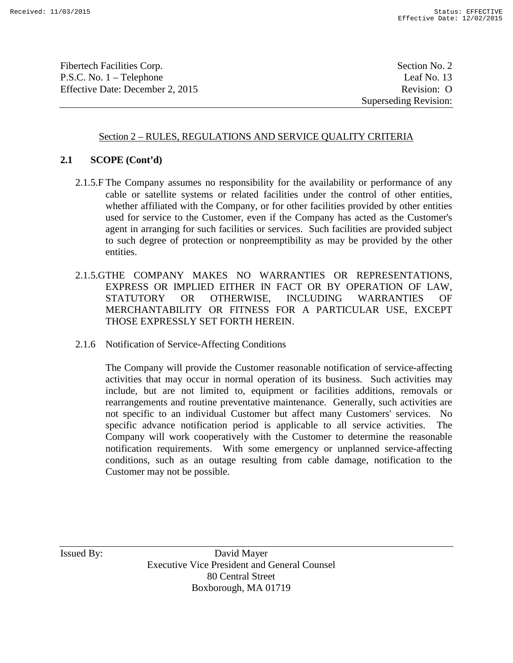Fibertech Facilities Corp. Section No. 2 P.S.C. No. 1 – Telephone Leaf No. 13 Effective Date: December 2, 2015 Revision: O

Superseding Revision:

#### Section 2 – RULES, REGULATIONS AND SERVICE QUALITY CRITERIA

#### **2.1 SCOPE (Cont'd)**

- 2.1.5.F The Company assumes no responsibility for the availability or performance of any cable or satellite systems or related facilities under the control of other entities, whether affiliated with the Company, or for other facilities provided by other entities used for service to the Customer, even if the Company has acted as the Customer's agent in arranging for such facilities or services. Such facilities are provided subject to such degree of protection or nonpreemptibility as may be provided by the other entities.
- 2.1.5.GTHE COMPANY MAKES NO WARRANTIES OR REPRESENTATIONS, EXPRESS OR IMPLIED EITHER IN FACT OR BY OPERATION OF LAW, STATUTORY OR OTHERWISE, INCLUDING WARRANTIES OF MERCHANTABILITY OR FITNESS FOR A PARTICULAR USE, EXCEPT THOSE EXPRESSLY SET FORTH HEREIN.
- 2.1.6 Notification of Service-Affecting Conditions

The Company will provide the Customer reasonable notification of service-affecting activities that may occur in normal operation of its business. Such activities may include, but are not limited to, equipment or facilities additions, removals or rearrangements and routine preventative maintenance. Generally, such activities are not specific to an individual Customer but affect many Customers' services. No specific advance notification period is applicable to all service activities. The Company will work cooperatively with the Customer to determine the reasonable notification requirements. With some emergency or unplanned service-affecting conditions, such as an outage resulting from cable damage, notification to the Customer may not be possible.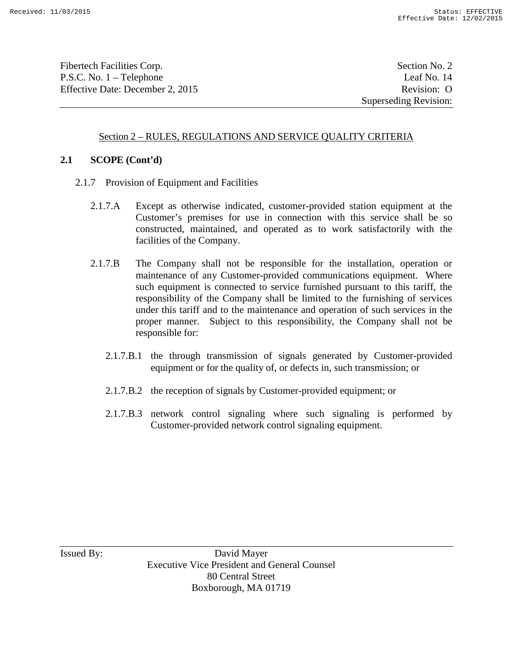Fibertech Facilities Corp. Section No. 2 P.S.C. No. 1 – Telephone Leaf No. 14 Effective Date: December 2, 2015 Revision: O

Superseding Revision:

## Section 2 – RULES, REGULATIONS AND SERVICE QUALITY CRITERIA

#### **2.1 SCOPE (Cont'd)**

- 2.1.7 Provision of Equipment and Facilities
	- 2.1.7.A Except as otherwise indicated, customer-provided station equipment at the Customer's premises for use in connection with this service shall be so constructed, maintained, and operated as to work satisfactorily with the facilities of the Company.
	- 2.1.7.B The Company shall not be responsible for the installation, operation or maintenance of any Customer-provided communications equipment. Where such equipment is connected to service furnished pursuant to this tariff, the responsibility of the Company shall be limited to the furnishing of services under this tariff and to the maintenance and operation of such services in the proper manner. Subject to this responsibility, the Company shall not be responsible for:
		- 2.1.7.B.1 the through transmission of signals generated by Customer-provided equipment or for the quality of, or defects in, such transmission; or
		- 2.1.7.B.2 the reception of signals by Customer-provided equipment; or
		- 2.1.7.B.3 network control signaling where such signaling is performed by Customer-provided network control signaling equipment.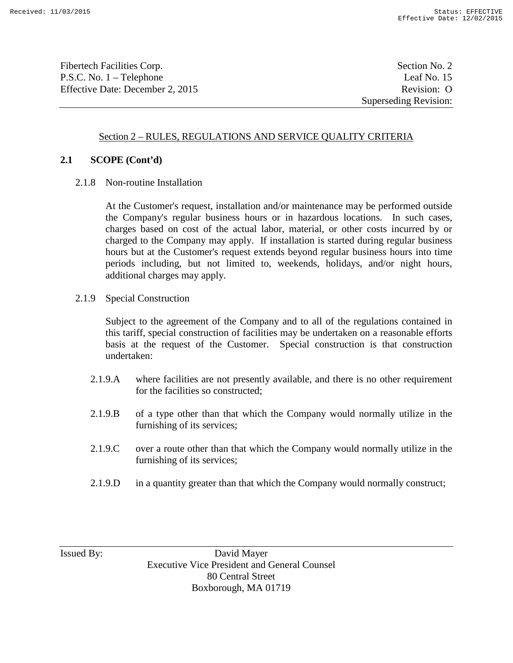Fibertech Facilities Corp. Section No. 2 P.S.C. No. 1 – Telephone Leaf No. 15 Effective Date: December 2, 2015 Revision: O

Superseding Revision:

## Section 2 – RULES, REGULATIONS AND SERVICE QUALITY CRITERIA

## **2.1 SCOPE (Cont'd)**

2.1.8 Non-routine Installation

At the Customer's request, installation and/or maintenance may be performed outside the Company's regular business hours or in hazardous locations. In such cases, charges based on cost of the actual labor, material, or other costs incurred by or charged to the Company may apply. If installation is started during regular business hours but at the Customer's request extends beyond regular business hours into time periods including, but not limited to, weekends, holidays, and/or night hours, additional charges may apply.

2.1.9 Special Construction

Subject to the agreement of the Company and to all of the regulations contained in this tariff, special construction of facilities may be undertaken on a reasonable efforts basis at the request of the Customer. Special construction is that construction undertaken:

- 2.1.9.A where facilities are not presently available, and there is no other requirement for the facilities so constructed;
- 2.1.9.B of a type other than that which the Company would normally utilize in the furnishing of its services;
- 2.1.9.C over a route other than that which the Company would normally utilize in the furnishing of its services;
- 2.1.9.D in a quantity greater than that which the Company would normally construct;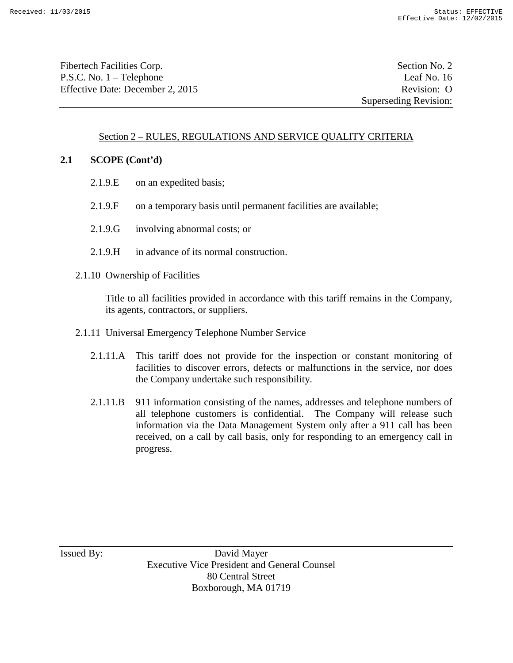Fibertech Facilities Corp. Section No. 2 P.S.C. No. 1 – Telephone Leaf No. 16 Effective Date: December 2, 2015 Revision: O

# Section 2 – RULES, REGULATIONS AND SERVICE QUALITY CRITERIA

#### **2.1 SCOPE (Cont'd)**

- 2.1.9.E on an expedited basis;
- 2.1.9.F on a temporary basis until permanent facilities are available;
- 2.1.9.G involving abnormal costs; or
- 2.1.9.H in advance of its normal construction.
- 2.1.10 Ownership of Facilities

Title to all facilities provided in accordance with this tariff remains in the Company, its agents, contractors, or suppliers.

- 2.1.11 Universal Emergency Telephone Number Service
	- 2.1.11.A This tariff does not provide for the inspection or constant monitoring of facilities to discover errors, defects or malfunctions in the service, nor does the Company undertake such responsibility.
	- 2.1.11.B 911 information consisting of the names, addresses and telephone numbers of all telephone customers is confidential. The Company will release such information via the Data Management System only after a 911 call has been received, on a call by call basis, only for responding to an emergency call in progress.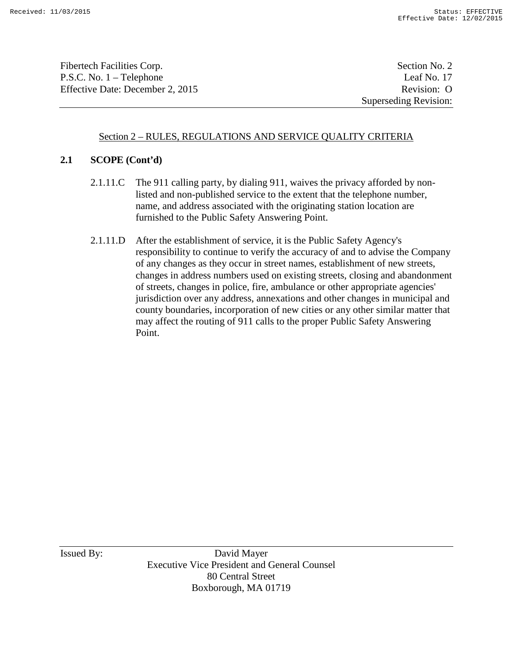Fibertech Facilities Corp. Section No. 2 P.S.C. No. 1 – Telephone Leaf No. 17 Effective Date: December 2, 2015 Revision: O

Superseding Revision:

# Section 2 – RULES, REGULATIONS AND SERVICE QUALITY CRITERIA

# **2.1 SCOPE (Cont'd)**

- 2.1.11.C The 911 calling party, by dialing 911, waives the privacy afforded by nonlisted and non-published service to the extent that the telephone number, name, and address associated with the originating station location are furnished to the Public Safety Answering Point.
- 2.1.11.D After the establishment of service, it is the Public Safety Agency's responsibility to continue to verify the accuracy of and to advise the Company of any changes as they occur in street names, establishment of new streets, changes in address numbers used on existing streets, closing and abandonment of streets, changes in police, fire, ambulance or other appropriate agencies' jurisdiction over any address, annexations and other changes in municipal and county boundaries, incorporation of new cities or any other similar matter that may affect the routing of 911 calls to the proper Public Safety Answering Point.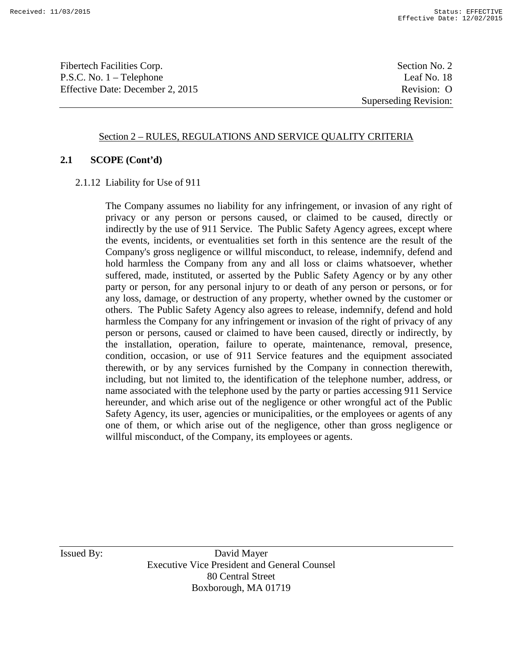Fibertech Facilities Corp. Section No. 2 P.S.C. No. 1 – Telephone Leaf No. 18 Effective Date: December 2, 2015 Revision: O

Superseding Revision:

#### Section 2 – RULES, REGULATIONS AND SERVICE QUALITY CRITERIA

#### **2.1 SCOPE (Cont'd)**

2.1.12 Liability for Use of 911

The Company assumes no liability for any infringement, or invasion of any right of privacy or any person or persons caused, or claimed to be caused, directly or indirectly by the use of 911 Service. The Public Safety Agency agrees, except where the events, incidents, or eventualities set forth in this sentence are the result of the Company's gross negligence or willful misconduct, to release, indemnify, defend and hold harmless the Company from any and all loss or claims whatsoever, whether suffered, made, instituted, or asserted by the Public Safety Agency or by any other party or person, for any personal injury to or death of any person or persons, or for any loss, damage, or destruction of any property, whether owned by the customer or others. The Public Safety Agency also agrees to release, indemnify, defend and hold harmless the Company for any infringement or invasion of the right of privacy of any person or persons, caused or claimed to have been caused, directly or indirectly, by the installation, operation, failure to operate, maintenance, removal, presence, condition, occasion, or use of 911 Service features and the equipment associated therewith, or by any services furnished by the Company in connection therewith, including, but not limited to, the identification of the telephone number, address, or name associated with the telephone used by the party or parties accessing 911 Service hereunder, and which arise out of the negligence or other wrongful act of the Public Safety Agency, its user, agencies or municipalities, or the employees or agents of any one of them, or which arise out of the negligence, other than gross negligence or willful misconduct, of the Company, its employees or agents.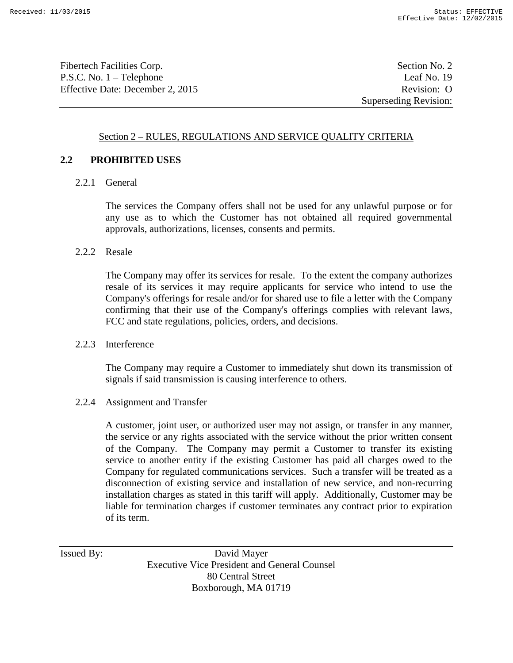Fibertech Facilities Corp. Section No. 2 P.S.C. No. 1 – Telephone Leaf No. 19 Effective Date: December 2, 2015 Revision: O

Superseding Revision:

## Section 2 – RULES, REGULATIONS AND SERVICE QUALITY CRITERIA

#### **2.2 PROHIBITED USES**

2.2.1 General

The services the Company offers shall not be used for any unlawful purpose or for any use as to which the Customer has not obtained all required governmental approvals, authorizations, licenses, consents and permits.

#### 2.2.2 Resale

The Company may offer its services for resale. To the extent the company authorizes resale of its services it may require applicants for service who intend to use the Company's offerings for resale and/or for shared use to file a letter with the Company confirming that their use of the Company's offerings complies with relevant laws, FCC and state regulations, policies, orders, and decisions.

#### 2.2.3 Interference

The Company may require a Customer to immediately shut down its transmission of signals if said transmission is causing interference to others.

#### 2.2.4 Assignment and Transfer

A customer, joint user, or authorized user may not assign, or transfer in any manner, the service or any rights associated with the service without the prior written consent of the Company. The Company may permit a Customer to transfer its existing service to another entity if the existing Customer has paid all charges owed to the Company for regulated communications services. Such a transfer will be treated as a disconnection of existing service and installation of new service, and non-recurring installation charges as stated in this tariff will apply. Additionally, Customer may be liable for termination charges if customer terminates any contract prior to expiration of its term.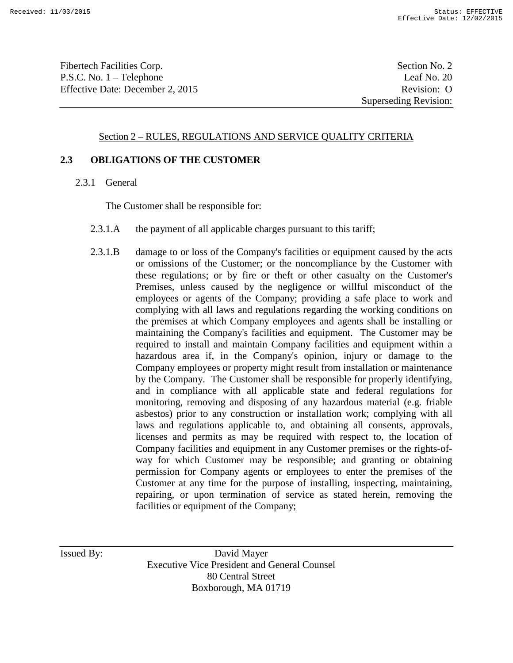Fibertech Facilities Corp. Section No. 2 P.S.C. No. 1 – Telephone Leaf No. 20 Effective Date: December 2, 2015 Revision: O

Superseding Revision:

#### Section 2 – RULES, REGULATIONS AND SERVICE QUALITY CRITERIA

#### **2.3 OBLIGATIONS OF THE CUSTOMER**

2.3.1 General

The Customer shall be responsible for:

- 2.3.1.A the payment of all applicable charges pursuant to this tariff;
- 2.3.1.B damage to or loss of the Company's facilities or equipment caused by the acts or omissions of the Customer; or the noncompliance by the Customer with these regulations; or by fire or theft or other casualty on the Customer's Premises, unless caused by the negligence or willful misconduct of the employees or agents of the Company; providing a safe place to work and complying with all laws and regulations regarding the working conditions on the premises at which Company employees and agents shall be installing or maintaining the Company's facilities and equipment. The Customer may be required to install and maintain Company facilities and equipment within a hazardous area if, in the Company's opinion, injury or damage to the Company employees or property might result from installation or maintenance by the Company. The Customer shall be responsible for properly identifying, and in compliance with all applicable state and federal regulations for monitoring, removing and disposing of any hazardous material (e.g. friable asbestos) prior to any construction or installation work; complying with all laws and regulations applicable to, and obtaining all consents, approvals, licenses and permits as may be required with respect to, the location of Company facilities and equipment in any Customer premises or the rights-ofway for which Customer may be responsible; and granting or obtaining permission for Company agents or employees to enter the premises of the Customer at any time for the purpose of installing, inspecting, maintaining, repairing, or upon termination of service as stated herein, removing the facilities or equipment of the Company;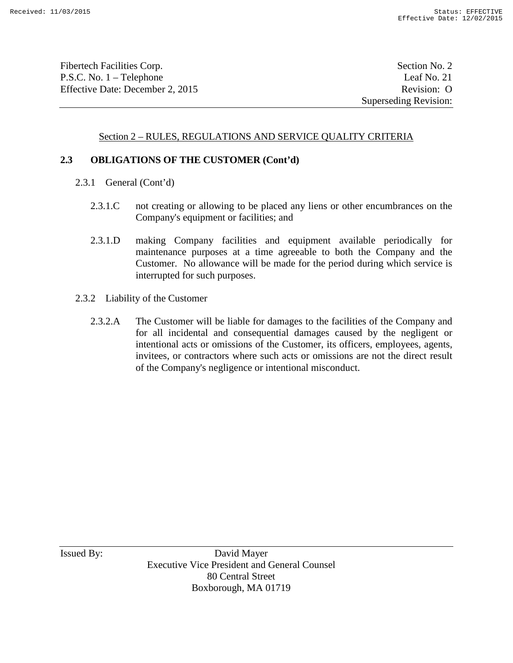Fibertech Facilities Corp. Section No. 2 P.S.C. No. 1 – Telephone Leaf No. 21 Effective Date: December 2, 2015 Revision: O

# Section 2 – RULES, REGULATIONS AND SERVICE QUALITY CRITERIA

# **2.3 OBLIGATIONS OF THE CUSTOMER (Cont'd)**

- 2.3.1 General (Cont'd)
	- 2.3.1.C not creating or allowing to be placed any liens or other encumbrances on the Company's equipment or facilities; and
	- 2.3.1.D making Company facilities and equipment available periodically for maintenance purposes at a time agreeable to both the Company and the Customer. No allowance will be made for the period during which service is interrupted for such purposes.
- 2.3.2 Liability of the Customer
	- 2.3.2.A The Customer will be liable for damages to the facilities of the Company and for all incidental and consequential damages caused by the negligent or intentional acts or omissions of the Customer, its officers, employees, agents, invitees, or contractors where such acts or omissions are not the direct result of the Company's negligence or intentional misconduct.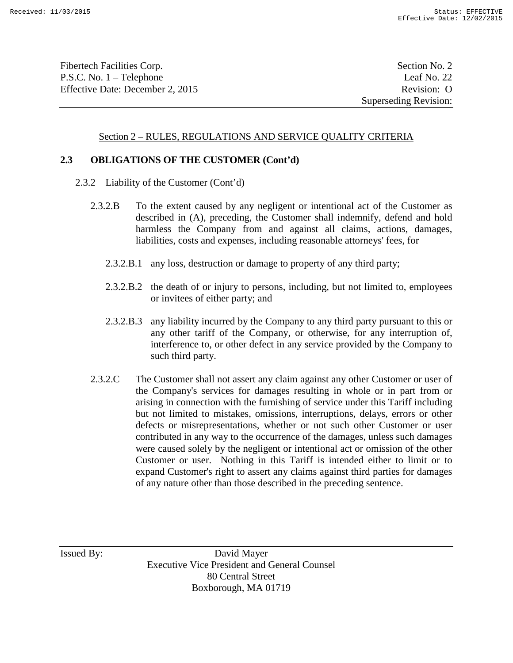Fibertech Facilities Corp. Section No. 2 P.S.C. No. 1 – Telephone Leaf No. 22 Effective Date: December 2, 2015 Revision: O

#### Section 2 – RULES, REGULATIONS AND SERVICE QUALITY CRITERIA

#### **2.3 OBLIGATIONS OF THE CUSTOMER (Cont'd)**

- 2.3.2 Liability of the Customer (Cont'd)
	- 2.3.2.B To the extent caused by any negligent or intentional act of the Customer as described in (A), preceding, the Customer shall indemnify, defend and hold harmless the Company from and against all claims, actions, damages, liabilities, costs and expenses, including reasonable attorneys' fees, for
		- 2.3.2.B.1 any loss, destruction or damage to property of any third party;
		- 2.3.2.B.2 the death of or injury to persons, including, but not limited to, employees or invitees of either party; and
		- 2.3.2.B.3 any liability incurred by the Company to any third party pursuant to this or any other tariff of the Company, or otherwise, for any interruption of, interference to, or other defect in any service provided by the Company to such third party.
	- 2.3.2.C The Customer shall not assert any claim against any other Customer or user of the Company's services for damages resulting in whole or in part from or arising in connection with the furnishing of service under this Tariff including but not limited to mistakes, omissions, interruptions, delays, errors or other defects or misrepresentations, whether or not such other Customer or user contributed in any way to the occurrence of the damages, unless such damages were caused solely by the negligent or intentional act or omission of the other Customer or user. Nothing in this Tariff is intended either to limit or to expand Customer's right to assert any claims against third parties for damages of any nature other than those described in the preceding sentence.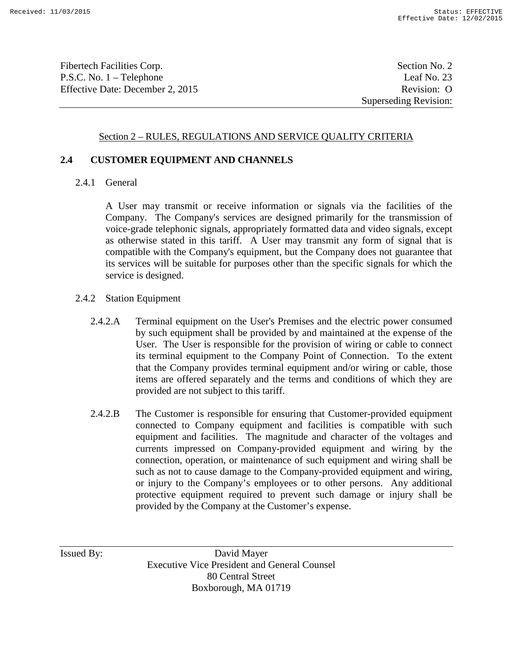Fibertech Facilities Corp. Section No. 2 P.S.C. No. 1 – Telephone Leaf No. 23 Effective Date: December 2, 2015 Revision: O

Superseding Revision:

#### Section 2 – RULES, REGULATIONS AND SERVICE QUALITY CRITERIA

#### **2.4 CUSTOMER EQUIPMENT AND CHANNELS**

2.4.1 General

A User may transmit or receive information or signals via the facilities of the Company. The Company's services are designed primarily for the transmission of voice-grade telephonic signals, appropriately formatted data and video signals, except as otherwise stated in this tariff. A User may transmit any form of signal that is compatible with the Company's equipment, but the Company does not guarantee that its services will be suitable for purposes other than the specific signals for which the service is designed.

- 2.4.2 Station Equipment
	- 2.4.2.A Terminal equipment on the User's Premises and the electric power consumed by such equipment shall be provided by and maintained at the expense of the User. The User is responsible for the provision of wiring or cable to connect its terminal equipment to the Company Point of Connection. To the extent that the Company provides terminal equipment and/or wiring or cable, those items are offered separately and the terms and conditions of which they are provided are not subject to this tariff.
	- 2.4.2.B The Customer is responsible for ensuring that Customer-provided equipment connected to Company equipment and facilities is compatible with such equipment and facilities. The magnitude and character of the voltages and currents impressed on Company-provided equipment and wiring by the connection, operation, or maintenance of such equipment and wiring shall be such as not to cause damage to the Company-provided equipment and wiring, or injury to the Company's employees or to other persons. Any additional protective equipment required to prevent such damage or injury shall be provided by the Company at the Customer's expense.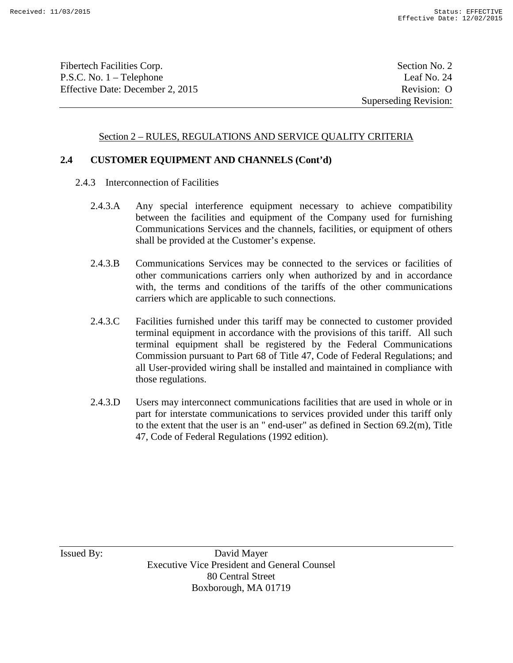Fibertech Facilities Corp. Section No. 2 P.S.C. No. 1 – Telephone Leaf No. 24 Effective Date: December 2, 2015 Revision: O

#### Section 2 – RULES, REGULATIONS AND SERVICE QUALITY CRITERIA

#### **2.4 CUSTOMER EQUIPMENT AND CHANNELS (Cont'd)**

- 2.4.3 Interconnection of Facilities
	- 2.4.3.A Any special interference equipment necessary to achieve compatibility between the facilities and equipment of the Company used for furnishing Communications Services and the channels, facilities, or equipment of others shall be provided at the Customer's expense.
	- 2.4.3.B Communications Services may be connected to the services or facilities of other communications carriers only when authorized by and in accordance with, the terms and conditions of the tariffs of the other communications carriers which are applicable to such connections.
	- 2.4.3.C Facilities furnished under this tariff may be connected to customer provided terminal equipment in accordance with the provisions of this tariff. All such terminal equipment shall be registered by the Federal Communications Commission pursuant to Part 68 of Title 47, Code of Federal Regulations; and all User-provided wiring shall be installed and maintained in compliance with those regulations.
	- 2.4.3.D Users may interconnect communications facilities that are used in whole or in part for interstate communications to services provided under this tariff only to the extent that the user is an " end-user" as defined in Section 69.2(m), Title 47, Code of Federal Regulations (1992 edition).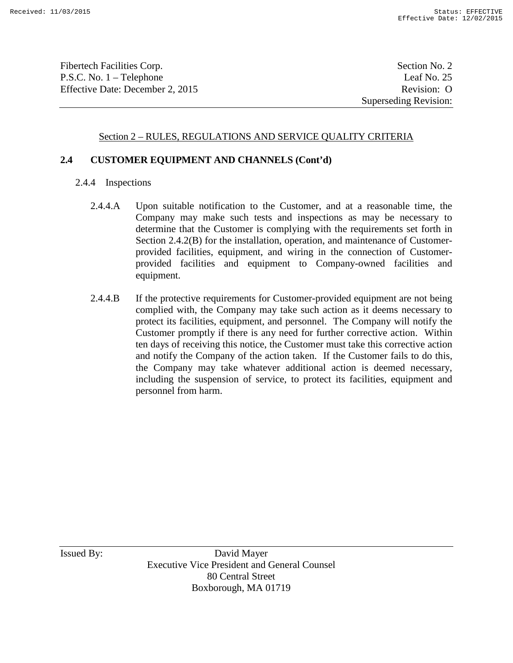Fibertech Facilities Corp. Section No. 2 P.S.C. No. 1 – Telephone Leaf No. 25 Effective Date: December 2, 2015 Revision: O

Superseding Revision:

## Section 2 – RULES, REGULATIONS AND SERVICE QUALITY CRITERIA

#### **2.4 CUSTOMER EQUIPMENT AND CHANNELS (Cont'd)**

- 2.4.4 Inspections
	- 2.4.4.A Upon suitable notification to the Customer, and at a reasonable time, the Company may make such tests and inspections as may be necessary to determine that the Customer is complying with the requirements set forth in Section 2.4.2(B) for the installation, operation, and maintenance of Customerprovided facilities, equipment, and wiring in the connection of Customerprovided facilities and equipment to Company-owned facilities and equipment.
	- 2.4.4.B If the protective requirements for Customer-provided equipment are not being complied with, the Company may take such action as it deems necessary to protect its facilities, equipment, and personnel. The Company will notify the Customer promptly if there is any need for further corrective action. Within ten days of receiving this notice, the Customer must take this corrective action and notify the Company of the action taken. If the Customer fails to do this, the Company may take whatever additional action is deemed necessary, including the suspension of service, to protect its facilities, equipment and personnel from harm.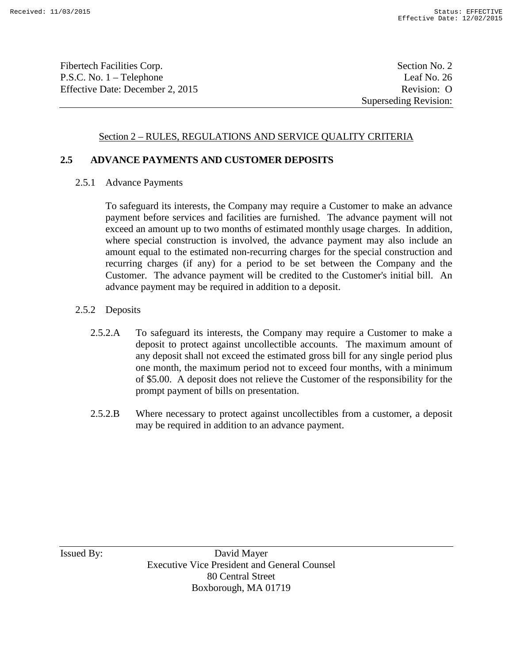Fibertech Facilities Corp. Section No. 2 P.S.C. No. 1 – Telephone Leaf No. 26 Effective Date: December 2, 2015 Revision: O

## Section 2 – RULES, REGULATIONS AND SERVICE QUALITY CRITERIA

#### **2.5 ADVANCE PAYMENTS AND CUSTOMER DEPOSITS**

2.5.1 Advance Payments

To safeguard its interests, the Company may require a Customer to make an advance payment before services and facilities are furnished. The advance payment will not exceed an amount up to two months of estimated monthly usage charges. In addition, where special construction is involved, the advance payment may also include an amount equal to the estimated non-recurring charges for the special construction and recurring charges (if any) for a period to be set between the Company and the Customer. The advance payment will be credited to the Customer's initial bill. An advance payment may be required in addition to a deposit.

- 2.5.2 Deposits
	- 2.5.2.A To safeguard its interests, the Company may require a Customer to make a deposit to protect against uncollectible accounts. The maximum amount of any deposit shall not exceed the estimated gross bill for any single period plus one month, the maximum period not to exceed four months, with a minimum of \$5.00. A deposit does not relieve the Customer of the responsibility for the prompt payment of bills on presentation.
	- 2.5.2.B Where necessary to protect against uncollectibles from a customer, a deposit may be required in addition to an advance payment.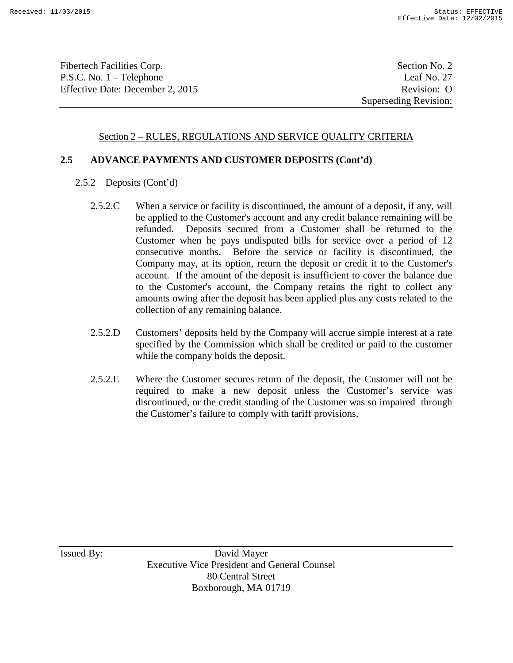Fibertech Facilities Corp. Section No. 2 P.S.C. No. 1 – Telephone Leaf No. 27 Effective Date: December 2, 2015 Revision: O

## Section 2 – RULES, REGULATIONS AND SERVICE QUALITY CRITERIA

#### **2.5 ADVANCE PAYMENTS AND CUSTOMER DEPOSITS (Cont'd)**

- 2.5.2 Deposits (Cont'd)
	- 2.5.2.C When a service or facility is discontinued, the amount of a deposit, if any, will be applied to the Customer's account and any credit balance remaining will be refunded. Deposits secured from a Customer shall be returned to the Customer when he pays undisputed bills for service over a period of 12 consecutive months. Before the service or facility is discontinued, the Company may, at its option, return the deposit or credit it to the Customer's account. If the amount of the deposit is insufficient to cover the balance due to the Customer's account, the Company retains the right to collect any amounts owing after the deposit has been applied plus any costs related to the collection of any remaining balance.
	- 2.5.2.D Customers' deposits held by the Company will accrue simple interest at a rate specified by the Commission which shall be credited or paid to the customer while the company holds the deposit.
	- 2.5.2.E Where the Customer secures return of the deposit, the Customer will not be required to make a new deposit unless the Customer's service was discontinued, or the credit standing of the Customer was so impaired through the Customer's failure to comply with tariff provisions.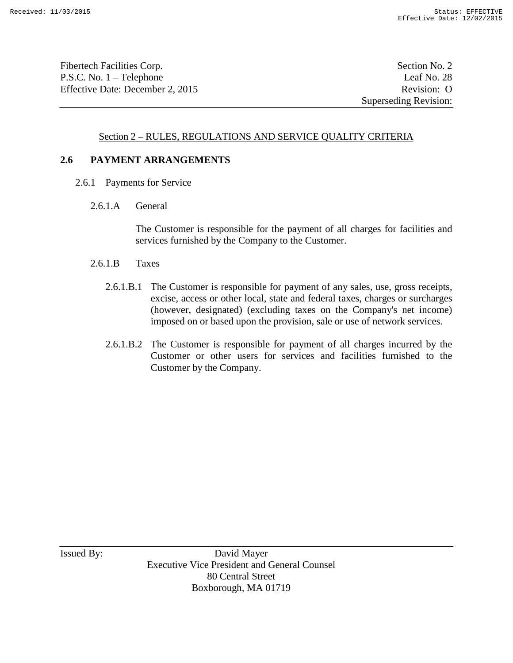Fibertech Facilities Corp. Section No. 2 P.S.C. No. 1 – Telephone Leaf No. 28 Effective Date: December 2, 2015 Revision: O

Superseding Revision:

## Section 2 – RULES, REGULATIONS AND SERVICE QUALITY CRITERIA

#### **2.6 PAYMENT ARRANGEMENTS**

- 2.6.1 Payments for Service
	- 2.6.1.A General

The Customer is responsible for the payment of all charges for facilities and services furnished by the Company to the Customer.

- 2.6.1.B Taxes
	- 2.6.1.B.1 The Customer is responsible for payment of any sales, use, gross receipts, excise, access or other local, state and federal taxes, charges or surcharges (however, designated) (excluding taxes on the Company's net income) imposed on or based upon the provision, sale or use of network services.
	- 2.6.1.B.2 The Customer is responsible for payment of all charges incurred by the Customer or other users for services and facilities furnished to the Customer by the Company.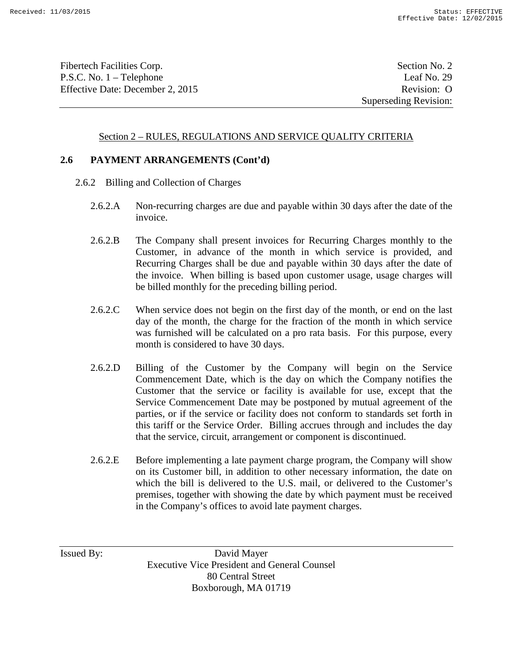Fibertech Facilities Corp. Section No. 2 P.S.C. No. 1 – Telephone Leaf No. 29 Effective Date: December 2, 2015 Revision: O

Superseding Revision:

#### Section 2 – RULES, REGULATIONS AND SERVICE QUALITY CRITERIA

#### **2.6 PAYMENT ARRANGEMENTS (Cont'd)**

- 2.6.2 Billing and Collection of Charges
	- 2.6.2.A Non-recurring charges are due and payable within 30 days after the date of the invoice.
	- 2.6.2.B The Company shall present invoices for Recurring Charges monthly to the Customer, in advance of the month in which service is provided, and Recurring Charges shall be due and payable within 30 days after the date of the invoice. When billing is based upon customer usage, usage charges will be billed monthly for the preceding billing period.
	- 2.6.2.C When service does not begin on the first day of the month, or end on the last day of the month, the charge for the fraction of the month in which service was furnished will be calculated on a pro rata basis. For this purpose, every month is considered to have 30 days.
	- 2.6.2.D Billing of the Customer by the Company will begin on the Service Commencement Date, which is the day on which the Company notifies the Customer that the service or facility is available for use, except that the Service Commencement Date may be postponed by mutual agreement of the parties, or if the service or facility does not conform to standards set forth in this tariff or the Service Order. Billing accrues through and includes the day that the service, circuit, arrangement or component is discontinued.
	- 2.6.2.E Before implementing a late payment charge program, the Company will show on its Customer bill, in addition to other necessary information, the date on which the bill is delivered to the U.S. mail, or delivered to the Customer's premises, together with showing the date by which payment must be received in the Company's offices to avoid late payment charges.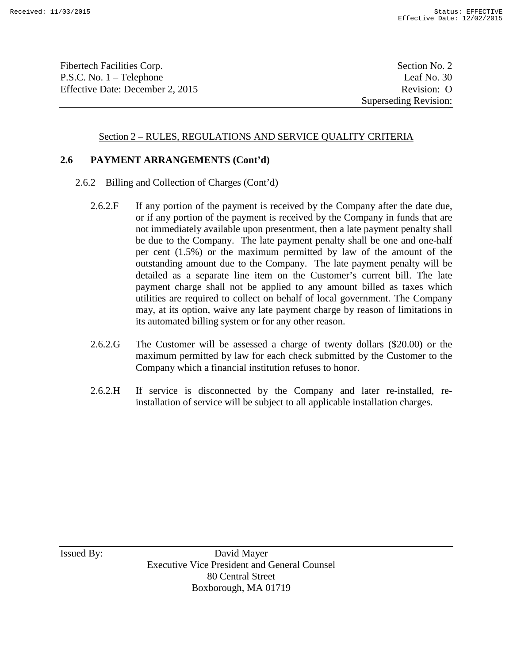Fibertech Facilities Corp. Section No. 2 P.S.C. No. 1 – Telephone Leaf No. 30 Effective Date: December 2, 2015 Revision: O

Superseding Revision:

#### Section 2 – RULES, REGULATIONS AND SERVICE QUALITY CRITERIA

#### **2.6 PAYMENT ARRANGEMENTS (Cont'd)**

- 2.6.2 Billing and Collection of Charges (Cont'd)
	- 2.6.2.F If any portion of the payment is received by the Company after the date due, or if any portion of the payment is received by the Company in funds that are not immediately available upon presentment, then a late payment penalty shall be due to the Company. The late payment penalty shall be one and one-half per cent (1.5%) or the maximum permitted by law of the amount of the outstanding amount due to the Company. The late payment penalty will be detailed as a separate line item on the Customer's current bill. The late payment charge shall not be applied to any amount billed as taxes which utilities are required to collect on behalf of local government. The Company may, at its option, waive any late payment charge by reason of limitations in its automated billing system or for any other reason.
	- 2.6.2.G The Customer will be assessed a charge of twenty dollars (\$20.00) or the maximum permitted by law for each check submitted by the Customer to the Company which a financial institution refuses to honor.
	- 2.6.2.H If service is disconnected by the Company and later re-installed, reinstallation of service will be subject to all applicable installation charges.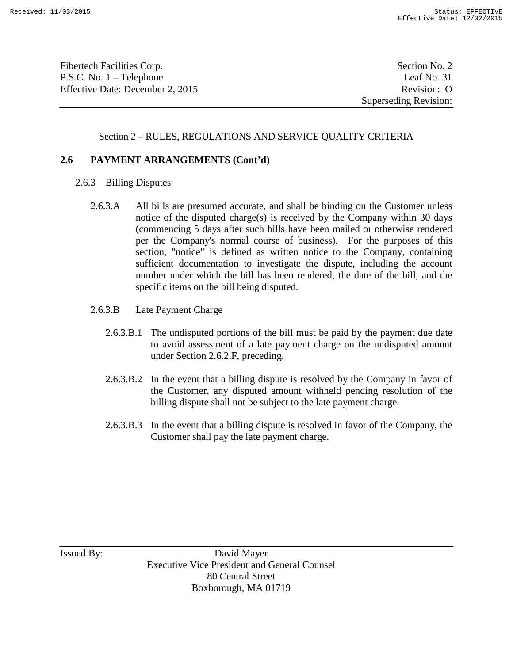Fibertech Facilities Corp. Section No. 2 P.S.C. No. 1 – Telephone Leaf No. 31 Effective Date: December 2, 2015 Revision: O

Superseding Revision:

#### Section 2 – RULES, REGULATIONS AND SERVICE QUALITY CRITERIA

#### **2.6 PAYMENT ARRANGEMENTS (Cont'd)**

- 2.6.3 Billing Disputes
	- 2.6.3.A All bills are presumed accurate, and shall be binding on the Customer unless notice of the disputed charge(s) is received by the Company within 30 days (commencing 5 days after such bills have been mailed or otherwise rendered per the Company's normal course of business). For the purposes of this section, "notice" is defined as written notice to the Company, containing sufficient documentation to investigate the dispute, including the account number under which the bill has been rendered, the date of the bill, and the specific items on the bill being disputed.
	- 2.6.3.B Late Payment Charge
		- 2.6.3.B.1 The undisputed portions of the bill must be paid by the payment due date to avoid assessment of a late payment charge on the undisputed amount under Section 2.6.2.F, preceding.
		- 2.6.3.B.2 In the event that a billing dispute is resolved by the Company in favor of the Customer, any disputed amount withheld pending resolution of the billing dispute shall not be subject to the late payment charge.
		- 2.6.3.B.3 In the event that a billing dispute is resolved in favor of the Company, the Customer shall pay the late payment charge.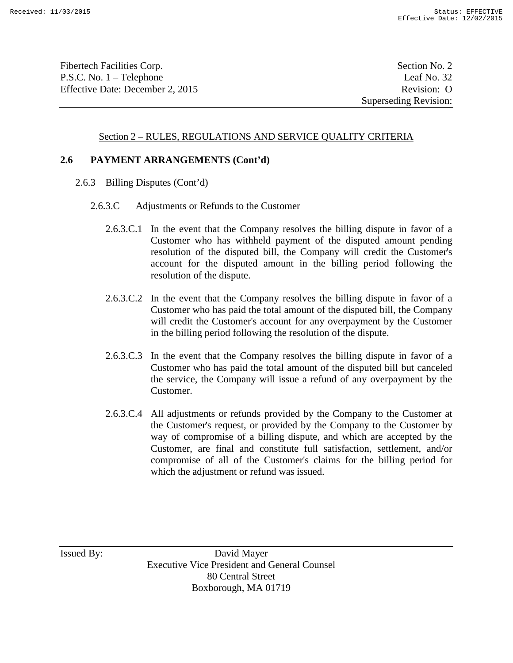Fibertech Facilities Corp. Section No. 2 P.S.C. No. 1 – Telephone Leaf No. 32 Effective Date: December 2, 2015 Revision: O

Superseding Revision:

#### Section 2 – RULES, REGULATIONS AND SERVICE QUALITY CRITERIA

#### **2.6 PAYMENT ARRANGEMENTS (Cont'd)**

- 2.6.3 Billing Disputes (Cont'd)
	- 2.6.3.C Adjustments or Refunds to the Customer
		- 2.6.3.C.1 In the event that the Company resolves the billing dispute in favor of a Customer who has withheld payment of the disputed amount pending resolution of the disputed bill, the Company will credit the Customer's account for the disputed amount in the billing period following the resolution of the dispute.
		- 2.6.3.C.2 In the event that the Company resolves the billing dispute in favor of a Customer who has paid the total amount of the disputed bill, the Company will credit the Customer's account for any overpayment by the Customer in the billing period following the resolution of the dispute.
		- 2.6.3.C.3 In the event that the Company resolves the billing dispute in favor of a Customer who has paid the total amount of the disputed bill but canceled the service, the Company will issue a refund of any overpayment by the Customer.
		- 2.6.3.C.4 All adjustments or refunds provided by the Company to the Customer at the Customer's request, or provided by the Company to the Customer by way of compromise of a billing dispute, and which are accepted by the Customer, are final and constitute full satisfaction, settlement, and/or compromise of all of the Customer's claims for the billing period for which the adjustment or refund was issued.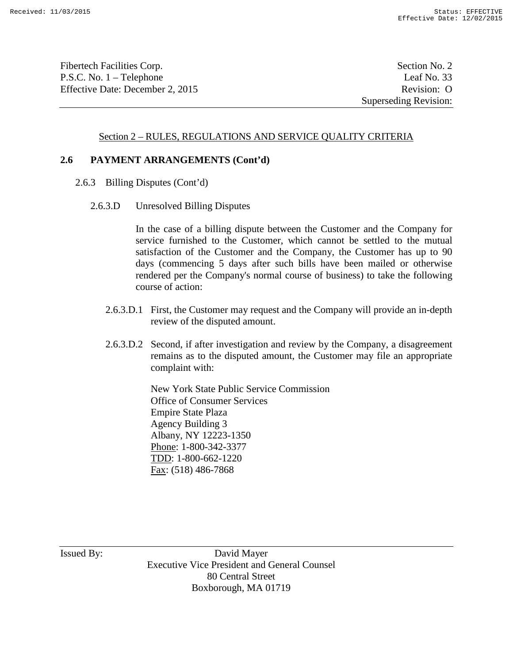Fibertech Facilities Corp. Section No. 2 P.S.C. No. 1 – Telephone Leaf No. 33 Effective Date: December 2, 2015 Revision: O

Superseding Revision:

#### Section 2 – RULES, REGULATIONS AND SERVICE QUALITY CRITERIA

#### **2.6 PAYMENT ARRANGEMENTS (Cont'd)**

- 2.6.3 Billing Disputes (Cont'd)
	- 2.6.3.D Unresolved Billing Disputes

In the case of a billing dispute between the Customer and the Company for service furnished to the Customer, which cannot be settled to the mutual satisfaction of the Customer and the Company, the Customer has up to 90 days (commencing 5 days after such bills have been mailed or otherwise rendered per the Company's normal course of business) to take the following course of action:

- 2.6.3.D.1 First, the Customer may request and the Company will provide an in-depth review of the disputed amount.
- 2.6.3.D.2 Second, if after investigation and review by the Company, a disagreement remains as to the disputed amount, the Customer may file an appropriate complaint with:

New York State Public Service Commission Office of Consumer Services Empire State Plaza Agency Building 3 Albany, NY 12223-1350 Phone: 1-800-342-3377 TDD: 1-800-662-1220 Fax: (518) 486-7868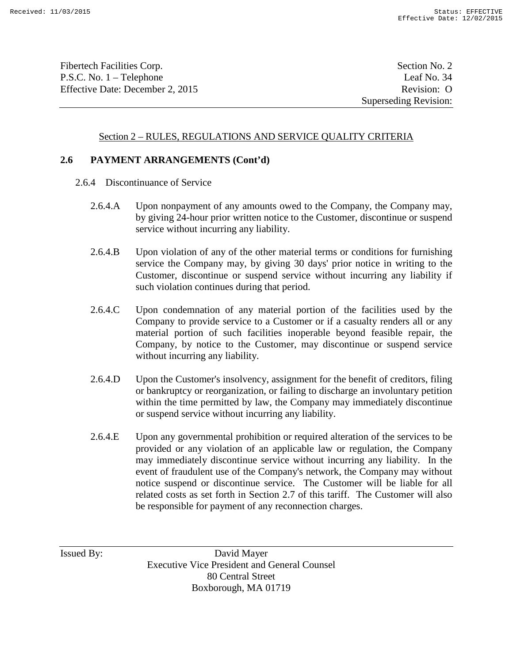Fibertech Facilities Corp. Section No. 2 P.S.C. No. 1 – Telephone Leaf No. 34 Effective Date: December 2, 2015 Revision: O

Superseding Revision:

#### Section 2 – RULES, REGULATIONS AND SERVICE QUALITY CRITERIA

#### **2.6 PAYMENT ARRANGEMENTS (Cont'd)**

- 2.6.4 Discontinuance of Service
	- 2.6.4.A Upon nonpayment of any amounts owed to the Company, the Company may, by giving 24-hour prior written notice to the Customer, discontinue or suspend service without incurring any liability.
	- 2.6.4.B Upon violation of any of the other material terms or conditions for furnishing service the Company may, by giving 30 days' prior notice in writing to the Customer, discontinue or suspend service without incurring any liability if such violation continues during that period.
	- 2.6.4.C Upon condemnation of any material portion of the facilities used by the Company to provide service to a Customer or if a casualty renders all or any material portion of such facilities inoperable beyond feasible repair, the Company, by notice to the Customer, may discontinue or suspend service without incurring any liability.
	- 2.6.4.D Upon the Customer's insolvency, assignment for the benefit of creditors, filing or bankruptcy or reorganization, or failing to discharge an involuntary petition within the time permitted by law, the Company may immediately discontinue or suspend service without incurring any liability.
	- 2.6.4.E Upon any governmental prohibition or required alteration of the services to be provided or any violation of an applicable law or regulation, the Company may immediately discontinue service without incurring any liability. In the event of fraudulent use of the Company's network, the Company may without notice suspend or discontinue service. The Customer will be liable for all related costs as set forth in Section 2.7 of this tariff. The Customer will also be responsible for payment of any reconnection charges.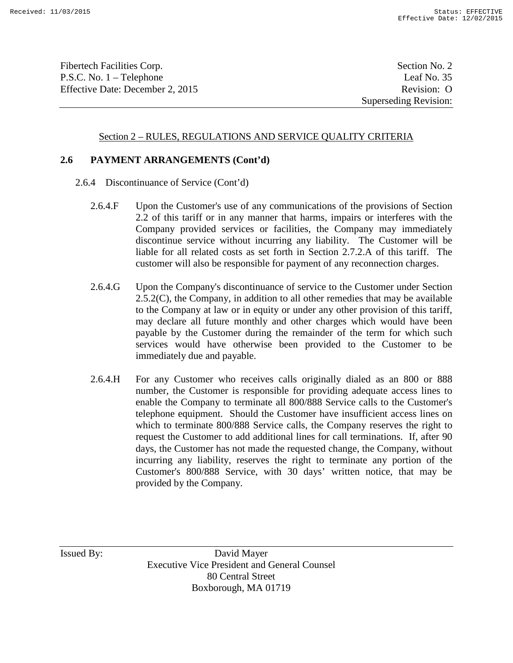Fibertech Facilities Corp. Section No. 2 P.S.C. No. 1 – Telephone Leaf No. 35 Effective Date: December 2, 2015 Revision: O

Superseding Revision:

#### Section 2 – RULES, REGULATIONS AND SERVICE QUALITY CRITERIA

#### **2.6 PAYMENT ARRANGEMENTS (Cont'd)**

- 2.6.4 Discontinuance of Service (Cont'd)
	- 2.6.4.F Upon the Customer's use of any communications of the provisions of Section 2.2 of this tariff or in any manner that harms, impairs or interferes with the Company provided services or facilities, the Company may immediately discontinue service without incurring any liability. The Customer will be liable for all related costs as set forth in Section 2.7.2.A of this tariff. The customer will also be responsible for payment of any reconnection charges.
	- 2.6.4.G Upon the Company's discontinuance of service to the Customer under Section 2.5.2(C), the Company, in addition to all other remedies that may be available to the Company at law or in equity or under any other provision of this tariff, may declare all future monthly and other charges which would have been payable by the Customer during the remainder of the term for which such services would have otherwise been provided to the Customer to be immediately due and payable.
	- 2.6.4.H For any Customer who receives calls originally dialed as an 800 or 888 number, the Customer is responsible for providing adequate access lines to enable the Company to terminate all 800/888 Service calls to the Customer's telephone equipment. Should the Customer have insufficient access lines on which to terminate 800/888 Service calls, the Company reserves the right to request the Customer to add additional lines for call terminations. If, after 90 days, the Customer has not made the requested change, the Company, without incurring any liability, reserves the right to terminate any portion of the Customer's 800/888 Service, with 30 days' written notice, that may be provided by the Company.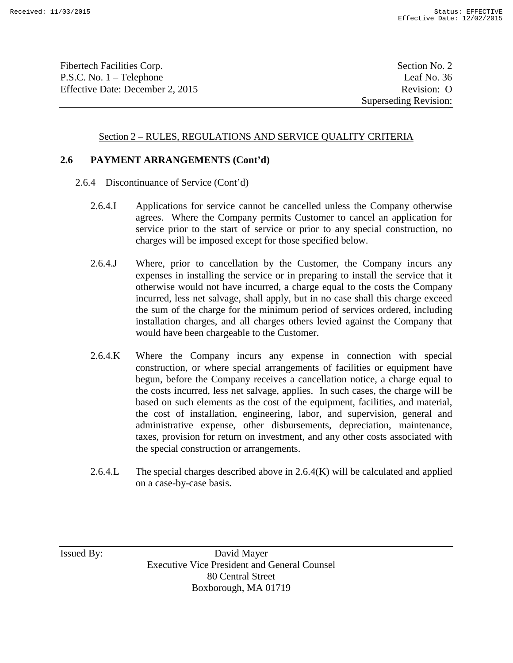Fibertech Facilities Corp. Section No. 2 P.S.C. No. 1 – Telephone Leaf No. 36 Effective Date: December 2, 2015 Revision: O

Superseding Revision:

#### Section 2 – RULES, REGULATIONS AND SERVICE QUALITY CRITERIA

#### **2.6 PAYMENT ARRANGEMENTS (Cont'd)**

- 2.6.4 Discontinuance of Service (Cont'd)
	- 2.6.4.I Applications for service cannot be cancelled unless the Company otherwise agrees. Where the Company permits Customer to cancel an application for service prior to the start of service or prior to any special construction, no charges will be imposed except for those specified below.
	- 2.6.4.J Where, prior to cancellation by the Customer, the Company incurs any expenses in installing the service or in preparing to install the service that it otherwise would not have incurred, a charge equal to the costs the Company incurred, less net salvage, shall apply, but in no case shall this charge exceed the sum of the charge for the minimum period of services ordered, including installation charges, and all charges others levied against the Company that would have been chargeable to the Customer.
	- 2.6.4.K Where the Company incurs any expense in connection with special construction, or where special arrangements of facilities or equipment have begun, before the Company receives a cancellation notice, a charge equal to the costs incurred, less net salvage, applies. In such cases, the charge will be based on such elements as the cost of the equipment, facilities, and material, the cost of installation, engineering, labor, and supervision, general and administrative expense, other disbursements, depreciation, maintenance, taxes, provision for return on investment, and any other costs associated with the special construction or arrangements.
	- 2.6.4.L The special charges described above in  $2.6.4(K)$  will be calculated and applied on a case-by-case basis.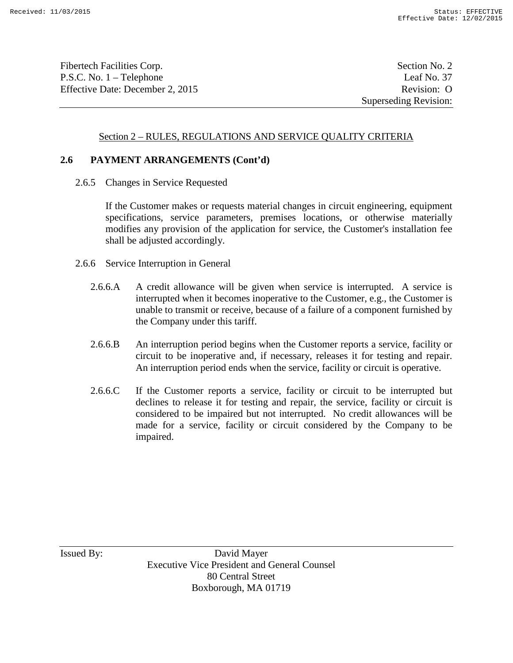Fibertech Facilities Corp. Section No. 2 P.S.C. No. 1 – Telephone Leaf No. 37 Effective Date: December 2, 2015 Revision: O

Superseding Revision:

### Section 2 – RULES, REGULATIONS AND SERVICE QUALITY CRITERIA

#### **2.6 PAYMENT ARRANGEMENTS (Cont'd)**

2.6.5 Changes in Service Requested

If the Customer makes or requests material changes in circuit engineering, equipment specifications, service parameters, premises locations, or otherwise materially modifies any provision of the application for service, the Customer's installation fee shall be adjusted accordingly.

- 2.6.6 Service Interruption in General
	- 2.6.6.A A credit allowance will be given when service is interrupted. A service is interrupted when it becomes inoperative to the Customer, e.g., the Customer is unable to transmit or receive, because of a failure of a component furnished by the Company under this tariff.
	- 2.6.6.B An interruption period begins when the Customer reports a service, facility or circuit to be inoperative and, if necessary, releases it for testing and repair. An interruption period ends when the service, facility or circuit is operative.
	- 2.6.6.C If the Customer reports a service, facility or circuit to be interrupted but declines to release it for testing and repair, the service, facility or circuit is considered to be impaired but not interrupted. No credit allowances will be made for a service, facility or circuit considered by the Company to be impaired.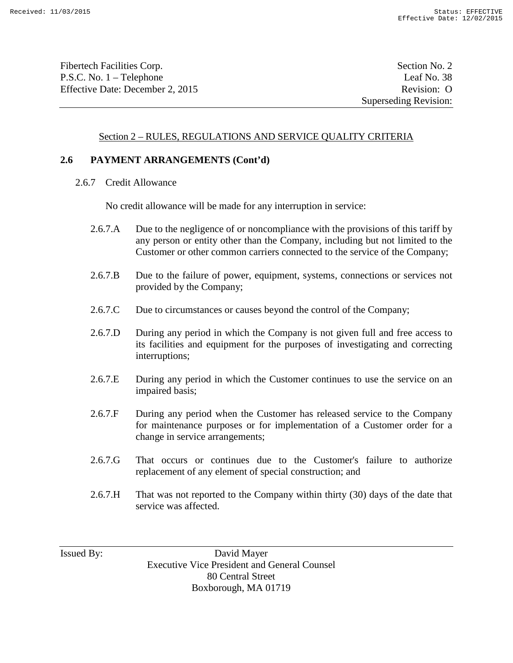Fibertech Facilities Corp. Section No. 2 P.S.C. No. 1 – Telephone Leaf No. 38 Effective Date: December 2, 2015 Revision: O

Superseding Revision:

#### Section 2 – RULES, REGULATIONS AND SERVICE QUALITY CRITERIA

#### **2.6 PAYMENT ARRANGEMENTS (Cont'd)**

2.6.7 Credit Allowance

No credit allowance will be made for any interruption in service:

- 2.6.7.A Due to the negligence of or noncompliance with the provisions of this tariff by any person or entity other than the Company, including but not limited to the Customer or other common carriers connected to the service of the Company;
- 2.6.7.B Due to the failure of power, equipment, systems, connections or services not provided by the Company;
- 2.6.7.C Due to circumstances or causes beyond the control of the Company;
- 2.6.7.D During any period in which the Company is not given full and free access to its facilities and equipment for the purposes of investigating and correcting interruptions;
- 2.6.7.E During any period in which the Customer continues to use the service on an impaired basis;
- 2.6.7.F During any period when the Customer has released service to the Company for maintenance purposes or for implementation of a Customer order for a change in service arrangements;
- 2.6.7.G That occurs or continues due to the Customer's failure to authorize replacement of any element of special construction; and
- 2.6.7.H That was not reported to the Company within thirty (30) days of the date that service was affected.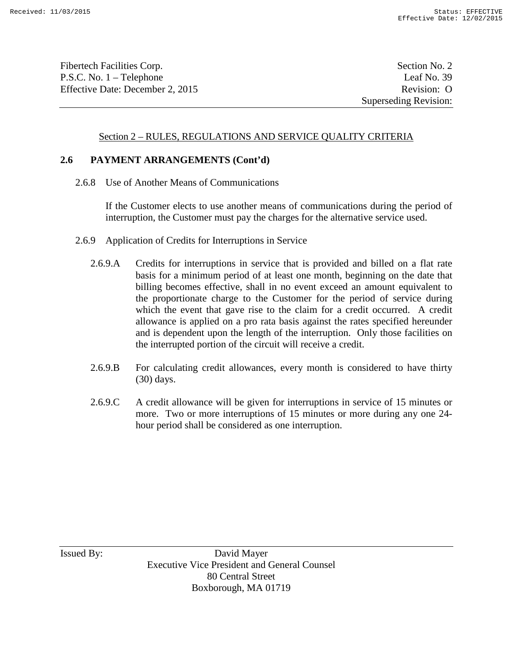Fibertech Facilities Corp. Section No. 2 P.S.C. No. 1 – Telephone Leaf No. 39 Effective Date: December 2, 2015 Revision: O

Superseding Revision:

### Section 2 – RULES, REGULATIONS AND SERVICE QUALITY CRITERIA

#### **2.6 PAYMENT ARRANGEMENTS (Cont'd)**

2.6.8 Use of Another Means of Communications

If the Customer elects to use another means of communications during the period of interruption, the Customer must pay the charges for the alternative service used.

- 2.6.9 Application of Credits for Interruptions in Service
	- 2.6.9.A Credits for interruptions in service that is provided and billed on a flat rate basis for a minimum period of at least one month, beginning on the date that billing becomes effective, shall in no event exceed an amount equivalent to the proportionate charge to the Customer for the period of service during which the event that gave rise to the claim for a credit occurred. A credit allowance is applied on a pro rata basis against the rates specified hereunder and is dependent upon the length of the interruption. Only those facilities on the interrupted portion of the circuit will receive a credit.
	- 2.6.9.B For calculating credit allowances, every month is considered to have thirty (30) days.
	- 2.6.9.C A credit allowance will be given for interruptions in service of 15 minutes or more. Two or more interruptions of 15 minutes or more during any one 24 hour period shall be considered as one interruption.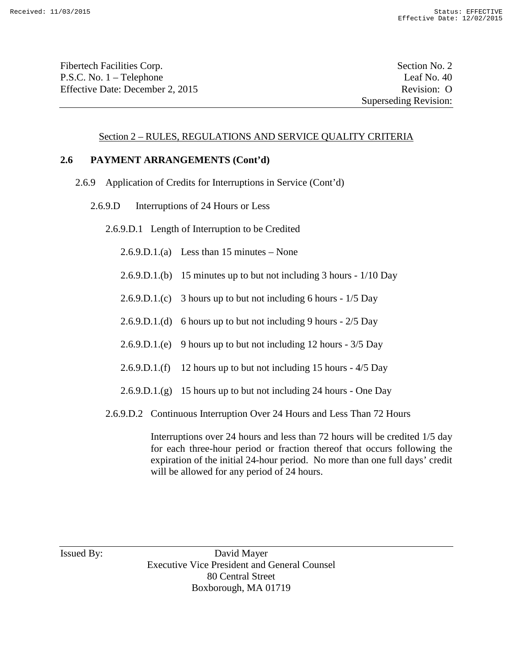Fibertech Facilities Corp. Section No. 2 P.S.C. No. 1 – Telephone Leaf No. 40 Effective Date: December 2, 2015 Revision: O

Superseding Revision:

#### Section 2 – RULES, REGULATIONS AND SERVICE QUALITY CRITERIA

#### **2.6 PAYMENT ARRANGEMENTS (Cont'd)**

- 2.6.9 Application of Credits for Interruptions in Service (Cont'd)
	- 2.6.9.D Interruptions of 24 Hours or Less

2.6.9.D.1 Length of Interruption to be Credited

2.6.9.D.1.(a) Less than 15 minutes – None

- 2.6.9.D.1.(b) 15 minutes up to but not including 3 hours 1/10 Day
- 2.6.9.D.1.(c) 3 hours up to but not including 6 hours 1/5 Day
- 2.6.9.D.1.(d) 6 hours up to but not including 9 hours 2/5 Day
- 2.6.9.D.1.(e) 9 hours up to but not including 12 hours 3/5 Day
- 2.6.9.D.1.(f) 12 hours up to but not including 15 hours 4/5 Day
- 2.6.9.D.1.(g) 15 hours up to but not including 24 hours One Day
- 2.6.9.D.2 Continuous Interruption Over 24 Hours and Less Than 72 Hours

Interruptions over 24 hours and less than 72 hours will be credited 1/5 day for each three-hour period or fraction thereof that occurs following the expiration of the initial 24-hour period. No more than one full days' credit will be allowed for any period of 24 hours.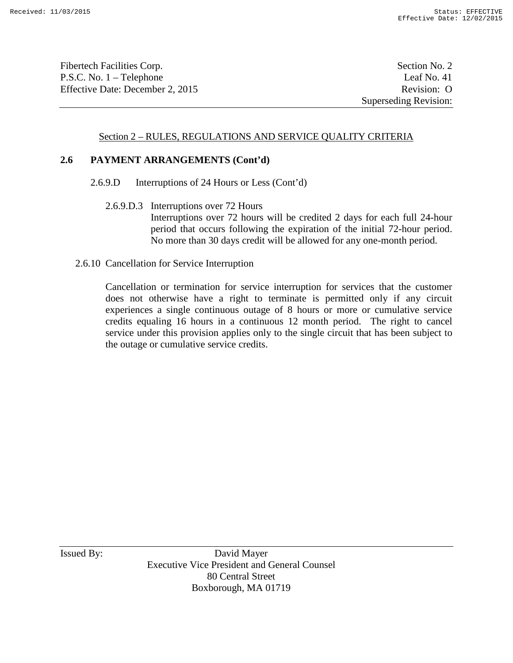Fibertech Facilities Corp. Section No. 2 P.S.C. No. 1 – Telephone Leaf No. 41 Effective Date: December 2, 2015 Revision: O

Superseding Revision:

### Section 2 – RULES, REGULATIONS AND SERVICE QUALITY CRITERIA

#### **2.6 PAYMENT ARRANGEMENTS (Cont'd)**

2.6.9.D Interruptions of 24 Hours or Less (Cont'd)

2.6.9.D.3 Interruptions over 72 Hours Interruptions over 72 hours will be credited 2 days for each full 24-hour period that occurs following the expiration of the initial 72-hour period. No more than 30 days credit will be allowed for any one-month period.

#### 2.6.10 Cancellation for Service Interruption

Cancellation or termination for service interruption for services that the customer does not otherwise have a right to terminate is permitted only if any circuit experiences a single continuous outage of 8 hours or more or cumulative service credits equaling 16 hours in a continuous 12 month period. The right to cancel service under this provision applies only to the single circuit that has been subject to the outage or cumulative service credits.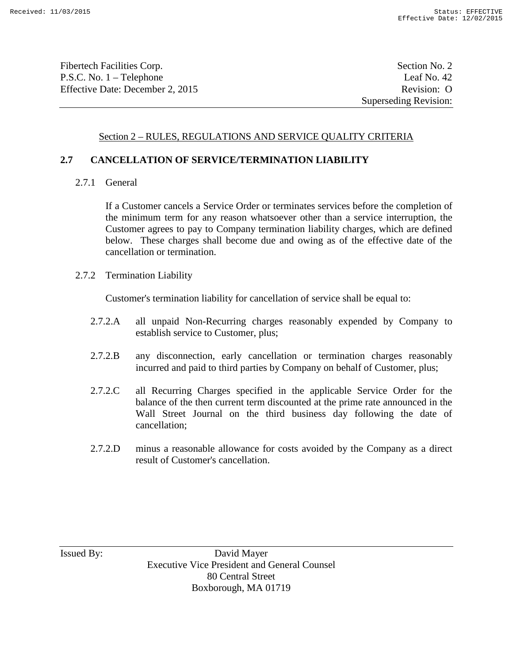Fibertech Facilities Corp. Section No. 2 P.S.C. No. 1 – Telephone Leaf No. 42 Effective Date: December 2, 2015 Revision: O

# Section 2 – RULES, REGULATIONS AND SERVICE QUALITY CRITERIA

# **2.7 CANCELLATION OF SERVICE/TERMINATION LIABILITY**

2.7.1 General

If a Customer cancels a Service Order or terminates services before the completion of the minimum term for any reason whatsoever other than a service interruption, the Customer agrees to pay to Company termination liability charges, which are defined below. These charges shall become due and owing as of the effective date of the cancellation or termination.

2.7.2 Termination Liability

Customer's termination liability for cancellation of service shall be equal to:

- 2.7.2.A all unpaid Non-Recurring charges reasonably expended by Company to establish service to Customer, plus;
- 2.7.2.B any disconnection, early cancellation or termination charges reasonably incurred and paid to third parties by Company on behalf of Customer, plus;
- 2.7.2.C all Recurring Charges specified in the applicable Service Order for the balance of the then current term discounted at the prime rate announced in the Wall Street Journal on the third business day following the date of cancellation;
- 2.7.2.D minus a reasonable allowance for costs avoided by the Company as a direct result of Customer's cancellation.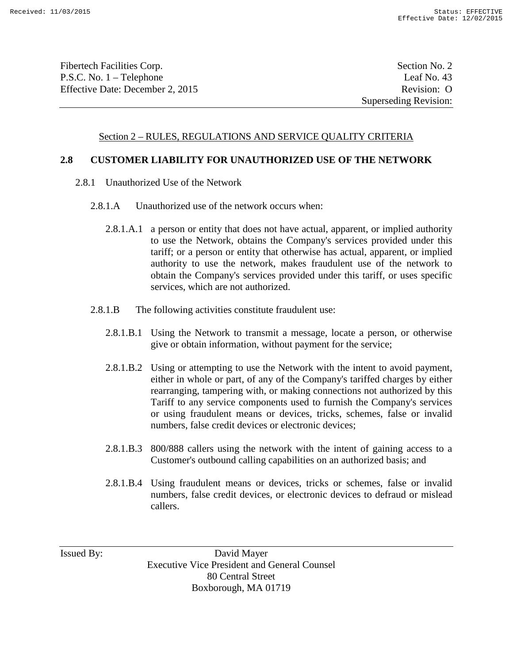Fibertech Facilities Corp. Section No. 2 P.S.C. No. 1 – Telephone Leaf No. 43 Effective Date: December 2, 2015 Revision: O

# Section 2 – RULES, REGULATIONS AND SERVICE QUALITY CRITERIA

# **2.8 CUSTOMER LIABILITY FOR UNAUTHORIZED USE OF THE NETWORK**

- 2.8.1 Unauthorized Use of the Network
	- 2.8.1.A Unauthorized use of the network occurs when:
		- 2.8.1.A.1 a person or entity that does not have actual, apparent, or implied authority to use the Network, obtains the Company's services provided under this tariff; or a person or entity that otherwise has actual, apparent, or implied authority to use the network, makes fraudulent use of the network to obtain the Company's services provided under this tariff, or uses specific services, which are not authorized.
	- 2.8.1.B The following activities constitute fraudulent use:
		- 2.8.1.B.1 Using the Network to transmit a message, locate a person, or otherwise give or obtain information, without payment for the service;
		- 2.8.1.B.2 Using or attempting to use the Network with the intent to avoid payment, either in whole or part, of any of the Company's tariffed charges by either rearranging, tampering with, or making connections not authorized by this Tariff to any service components used to furnish the Company's services or using fraudulent means or devices, tricks, schemes, false or invalid numbers, false credit devices or electronic devices;
		- 2.8.1.B.3 800/888 callers using the network with the intent of gaining access to a Customer's outbound calling capabilities on an authorized basis; and
		- 2.8.1.B.4 Using fraudulent means or devices, tricks or schemes, false or invalid numbers, false credit devices, or electronic devices to defraud or mislead callers.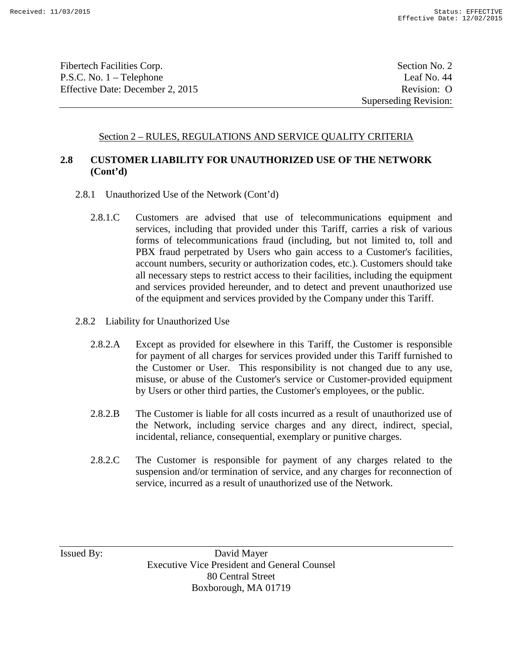Fibertech Facilities Corp. Section No. 2 P.S.C. No. 1 – Telephone Leaf No. 44 Effective Date: December 2, 2015 Revision: O

Superseding Revision:

### Section 2 – RULES, REGULATIONS AND SERVICE QUALITY CRITERIA

# **2.8 CUSTOMER LIABILITY FOR UNAUTHORIZED USE OF THE NETWORK (Cont'd)**

- 2.8.1 Unauthorized Use of the Network (Cont'd)
	- 2.8.1.C Customers are advised that use of telecommunications equipment and services, including that provided under this Tariff, carries a risk of various forms of telecommunications fraud (including, but not limited to, toll and PBX fraud perpetrated by Users who gain access to a Customer's facilities, account numbers, security or authorization codes, etc.). Customers should take all necessary steps to restrict access to their facilities, including the equipment and services provided hereunder, and to detect and prevent unauthorized use of the equipment and services provided by the Company under this Tariff.
- 2.8.2 Liability for Unauthorized Use
	- 2.8.2.A Except as provided for elsewhere in this Tariff, the Customer is responsible for payment of all charges for services provided under this Tariff furnished to the Customer or User. This responsibility is not changed due to any use, misuse, or abuse of the Customer's service or Customer-provided equipment by Users or other third parties, the Customer's employees, or the public.
	- 2.8.2.B The Customer is liable for all costs incurred as a result of unauthorized use of the Network, including service charges and any direct, indirect, special, incidental, reliance, consequential, exemplary or punitive charges.
	- 2.8.2.C The Customer is responsible for payment of any charges related to the suspension and/or termination of service, and any charges for reconnection of service, incurred as a result of unauthorized use of the Network.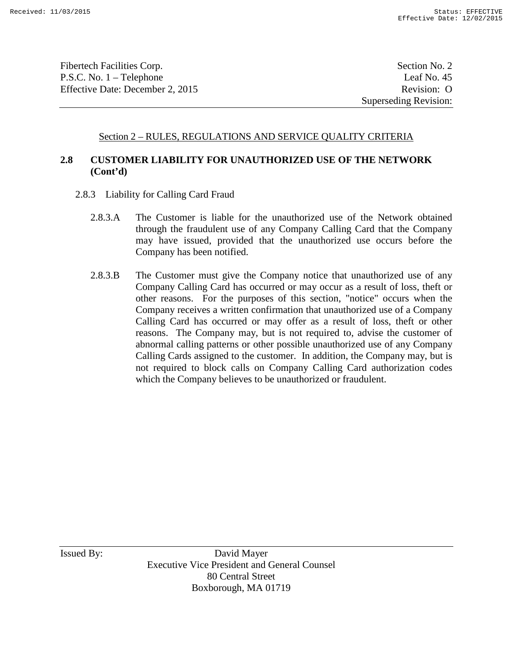Fibertech Facilities Corp. Section No. 2 P.S.C. No. 1 – Telephone Leaf No. 45 Effective Date: December 2, 2015 Revision: O

Superseding Revision:

### Section 2 – RULES, REGULATIONS AND SERVICE QUALITY CRITERIA

# **2.8 CUSTOMER LIABILITY FOR UNAUTHORIZED USE OF THE NETWORK (Cont'd)**

- 2.8.3 Liability for Calling Card Fraud
	- 2.8.3.A The Customer is liable for the unauthorized use of the Network obtained through the fraudulent use of any Company Calling Card that the Company may have issued, provided that the unauthorized use occurs before the Company has been notified.
	- 2.8.3.B The Customer must give the Company notice that unauthorized use of any Company Calling Card has occurred or may occur as a result of loss, theft or other reasons. For the purposes of this section, "notice" occurs when the Company receives a written confirmation that unauthorized use of a Company Calling Card has occurred or may offer as a result of loss, theft or other reasons. The Company may, but is not required to, advise the customer of abnormal calling patterns or other possible unauthorized use of any Company Calling Cards assigned to the customer. In addition, the Company may, but is not required to block calls on Company Calling Card authorization codes which the Company believes to be unauthorized or fraudulent.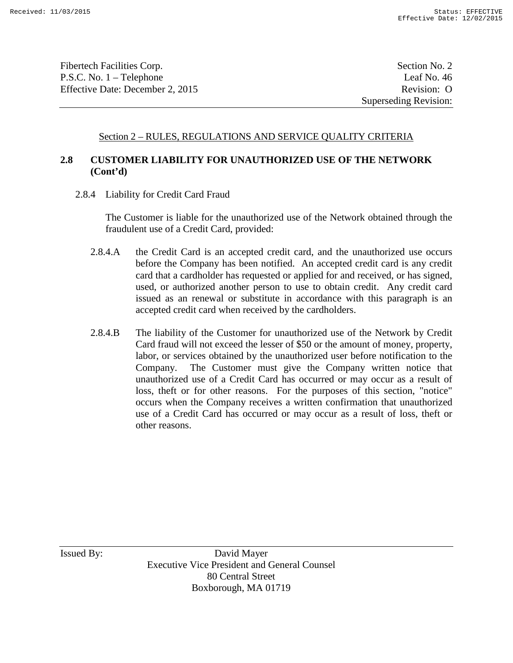Fibertech Facilities Corp. Section No. 2 P.S.C. No. 1 – Telephone Leaf No. 46 Effective Date: December 2, 2015 Revision: O

### Section 2 – RULES, REGULATIONS AND SERVICE QUALITY CRITERIA

# **2.8 CUSTOMER LIABILITY FOR UNAUTHORIZED USE OF THE NETWORK (Cont'd)**

2.8.4 Liability for Credit Card Fraud

The Customer is liable for the unauthorized use of the Network obtained through the fraudulent use of a Credit Card, provided:

- 2.8.4.A the Credit Card is an accepted credit card, and the unauthorized use occurs before the Company has been notified. An accepted credit card is any credit card that a cardholder has requested or applied for and received, or has signed, used, or authorized another person to use to obtain credit. Any credit card issued as an renewal or substitute in accordance with this paragraph is an accepted credit card when received by the cardholders.
- 2.8.4.B The liability of the Customer for unauthorized use of the Network by Credit Card fraud will not exceed the lesser of \$50 or the amount of money, property, labor, or services obtained by the unauthorized user before notification to the Company. The Customer must give the Company written notice that unauthorized use of a Credit Card has occurred or may occur as a result of loss, theft or for other reasons. For the purposes of this section, "notice" occurs when the Company receives a written confirmation that unauthorized use of a Credit Card has occurred or may occur as a result of loss, theft or other reasons.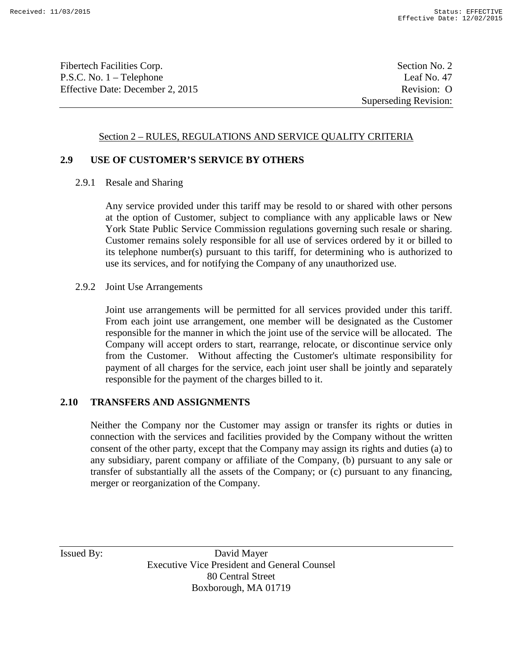Fibertech Facilities Corp. Section No. 2 P.S.C. No. 1 – Telephone Leaf No. 47 Effective Date: December 2, 2015 Revision: O

### Section 2 – RULES, REGULATIONS AND SERVICE QUALITY CRITERIA

### **2.9 USE OF CUSTOMER'S SERVICE BY OTHERS**

2.9.1 Resale and Sharing

Any service provided under this tariff may be resold to or shared with other persons at the option of Customer, subject to compliance with any applicable laws or New York State Public Service Commission regulations governing such resale or sharing. Customer remains solely responsible for all use of services ordered by it or billed to its telephone number(s) pursuant to this tariff, for determining who is authorized to use its services, and for notifying the Company of any unauthorized use.

2.9.2 Joint Use Arrangements

Joint use arrangements will be permitted for all services provided under this tariff. From each joint use arrangement, one member will be designated as the Customer responsible for the manner in which the joint use of the service will be allocated. The Company will accept orders to start, rearrange, relocate, or discontinue service only from the Customer. Without affecting the Customer's ultimate responsibility for payment of all charges for the service, each joint user shall be jointly and separately responsible for the payment of the charges billed to it.

### **2.10 TRANSFERS AND ASSIGNMENTS**

Neither the Company nor the Customer may assign or transfer its rights or duties in connection with the services and facilities provided by the Company without the written consent of the other party, except that the Company may assign its rights and duties (a) to any subsidiary, parent company or affiliate of the Company, (b) pursuant to any sale or transfer of substantially all the assets of the Company; or (c) pursuant to any financing, merger or reorganization of the Company.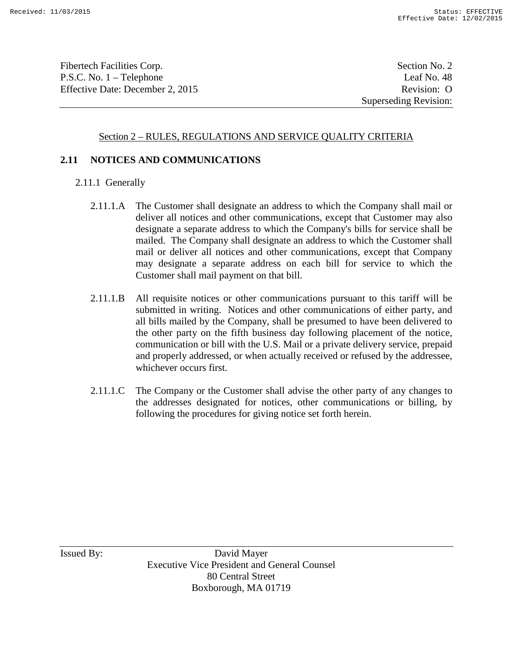Fibertech Facilities Corp. Section No. 2 P.S.C. No. 1 – Telephone Leaf No. 48 Effective Date: December 2, 2015 Revision: O

Superseding Revision:

# Section 2 – RULES, REGULATIONS AND SERVICE QUALITY CRITERIA

# **2.11 NOTICES AND COMMUNICATIONS**

- 2.11.1 Generally
	- 2.11.1.A The Customer shall designate an address to which the Company shall mail or deliver all notices and other communications, except that Customer may also designate a separate address to which the Company's bills for service shall be mailed. The Company shall designate an address to which the Customer shall mail or deliver all notices and other communications, except that Company may designate a separate address on each bill for service to which the Customer shall mail payment on that bill.
	- 2.11.1.B All requisite notices or other communications pursuant to this tariff will be submitted in writing. Notices and other communications of either party, and all bills mailed by the Company, shall be presumed to have been delivered to the other party on the fifth business day following placement of the notice, communication or bill with the U.S. Mail or a private delivery service, prepaid and properly addressed, or when actually received or refused by the addressee, whichever occurs first.
	- 2.11.1.C The Company or the Customer shall advise the other party of any changes to the addresses designated for notices, other communications or billing, by following the procedures for giving notice set forth herein.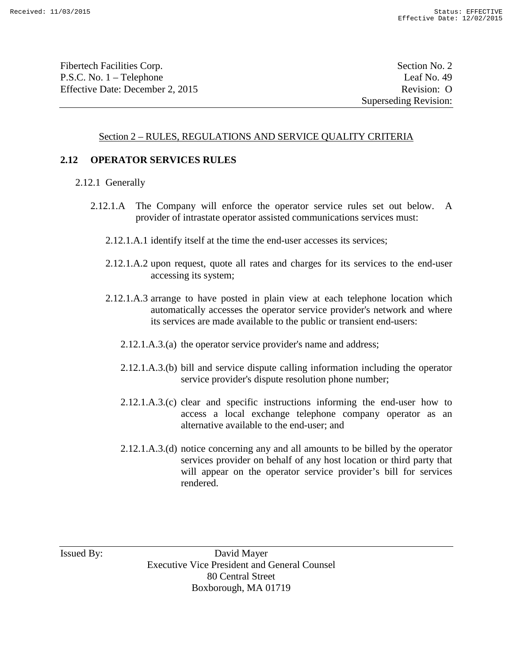Fibertech Facilities Corp. Section No. 2 P.S.C. No. 1 – Telephone Leaf No. 49 Effective Date: December 2, 2015 Revision: O

Superseding Revision:

### Section 2 – RULES, REGULATIONS AND SERVICE QUALITY CRITERIA

#### **2.12 OPERATOR SERVICES RULES**

- 2.12.1 Generally
	- 2.12.1.A The Company will enforce the operator service rules set out below. A provider of intrastate operator assisted communications services must:
		- 2.12.1.A.1 identify itself at the time the end-user accesses its services;
		- 2.12.1.A.2 upon request, quote all rates and charges for its services to the end-user accessing its system;
		- 2.12.1.A.3 arrange to have posted in plain view at each telephone location which automatically accesses the operator service provider's network and where its services are made available to the public or transient end-users:
			- 2.12.1.A.3.(a) the operator service provider's name and address;
			- 2.12.1.A.3.(b) bill and service dispute calling information including the operator service provider's dispute resolution phone number;
			- 2.12.1.A.3.(c) clear and specific instructions informing the end-user how to access a local exchange telephone company operator as an alternative available to the end-user; and
			- 2.12.1.A.3.(d) notice concerning any and all amounts to be billed by the operator services provider on behalf of any host location or third party that will appear on the operator service provider's bill for services rendered.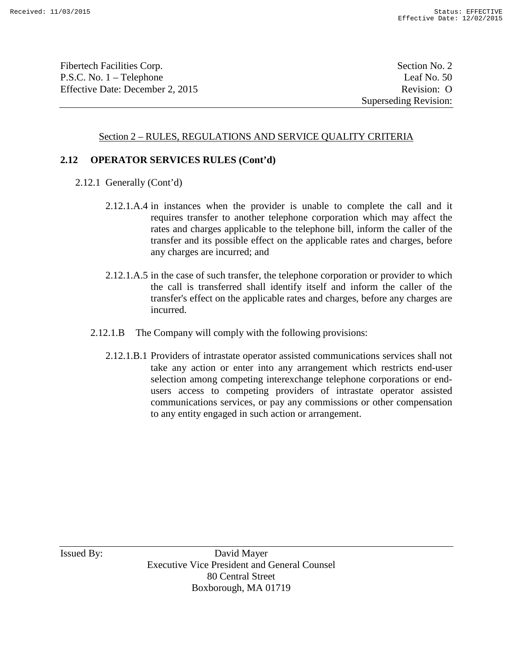Fibertech Facilities Corp. Section No. 2 P.S.C. No. 1 – Telephone Leaf No. 50 Effective Date: December 2, 2015 Revision: O

Superseding Revision:

#### Section 2 – RULES, REGULATIONS AND SERVICE QUALITY CRITERIA

#### **2.12 OPERATOR SERVICES RULES (Cont'd)**

- 2.12.1 Generally (Cont'd)
	- 2.12.1.A.4 in instances when the provider is unable to complete the call and it requires transfer to another telephone corporation which may affect the rates and charges applicable to the telephone bill, inform the caller of the transfer and its possible effect on the applicable rates and charges, before any charges are incurred; and
	- 2.12.1.A.5 in the case of such transfer, the telephone corporation or provider to which the call is transferred shall identify itself and inform the caller of the transfer's effect on the applicable rates and charges, before any charges are incurred.
	- 2.12.1.B The Company will comply with the following provisions:
		- 2.12.1.B.1 Providers of intrastate operator assisted communications services shall not take any action or enter into any arrangement which restricts end-user selection among competing interexchange telephone corporations or endusers access to competing providers of intrastate operator assisted communications services, or pay any commissions or other compensation to any entity engaged in such action or arrangement.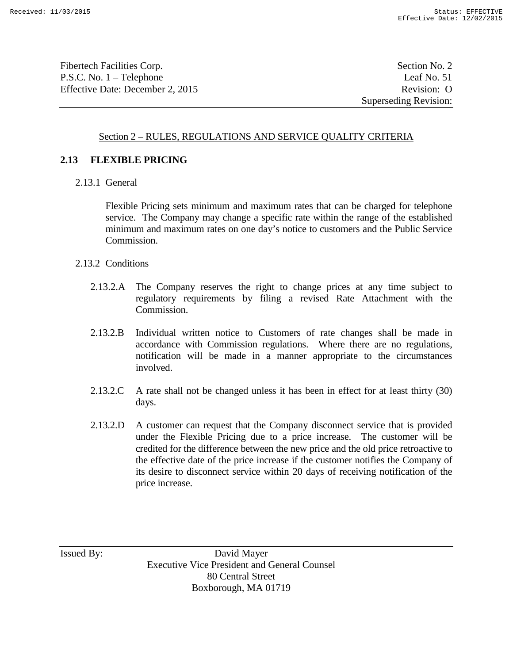Fibertech Facilities Corp. Section No. 2 P.S.C. No. 1 – Telephone Leaf No. 51 Effective Date: December 2, 2015 Revision: O

Superseding Revision:

### Section 2 – RULES, REGULATIONS AND SERVICE QUALITY CRITERIA

#### **2.13 FLEXIBLE PRICING**

2.13.1 General

Flexible Pricing sets minimum and maximum rates that can be charged for telephone service. The Company may change a specific rate within the range of the established minimum and maximum rates on one day's notice to customers and the Public Service Commission.

- 2.13.2 Conditions
	- 2.13.2.A The Company reserves the right to change prices at any time subject to regulatory requirements by filing a revised Rate Attachment with the Commission.
	- 2.13.2.B Individual written notice to Customers of rate changes shall be made in accordance with Commission regulations. Where there are no regulations, notification will be made in a manner appropriate to the circumstances involved.
	- 2.13.2.C A rate shall not be changed unless it has been in effect for at least thirty (30) days.
	- 2.13.2.D A customer can request that the Company disconnect service that is provided under the Flexible Pricing due to a price increase. The customer will be credited for the difference between the new price and the old price retroactive to the effective date of the price increase if the customer notifies the Company of its desire to disconnect service within 20 days of receiving notification of the price increase.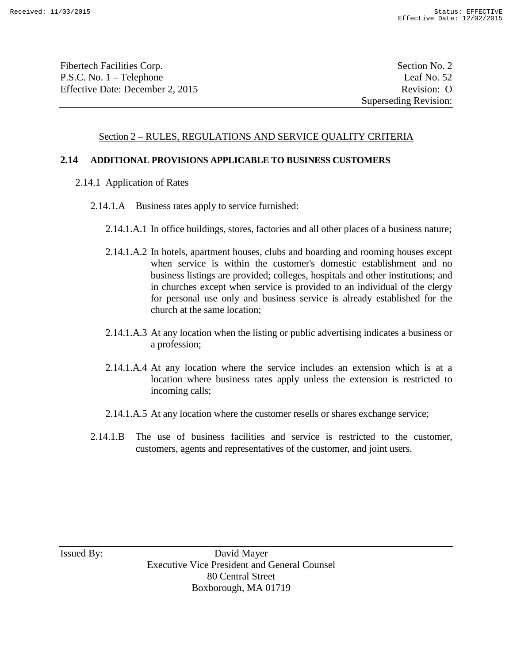Fibertech Facilities Corp. Section No. 2 P.S.C. No. 1 – Telephone Leaf No. 52 Effective Date: December 2, 2015 Revision: O

#### Section 2 – RULES, REGULATIONS AND SERVICE QUALITY CRITERIA

#### **2.14 ADDITIONAL PROVISIONS APPLICABLE TO BUSINESS CUSTOMERS**

- 2.14.1 Application of Rates
	- 2.14.1.A Business rates apply to service furnished:
		- 2.14.1.A.1 In office buildings, stores, factories and all other places of a business nature;
		- 2.14.1.A.2 In hotels, apartment houses, clubs and boarding and rooming houses except when service is within the customer's domestic establishment and no business listings are provided; colleges, hospitals and other institutions; and in churches except when service is provided to an individual of the clergy for personal use only and business service is already established for the church at the same location;
		- 2.14.1.A.3 At any location when the listing or public advertising indicates a business or a profession;
		- 2.14.1.A.4 At any location where the service includes an extension which is at a location where business rates apply unless the extension is restricted to incoming calls;
		- 2.14.1.A.5 At any location where the customer resells or shares exchange service;
	- 2.14.1.B The use of business facilities and service is restricted to the customer, customers, agents and representatives of the customer, and joint users.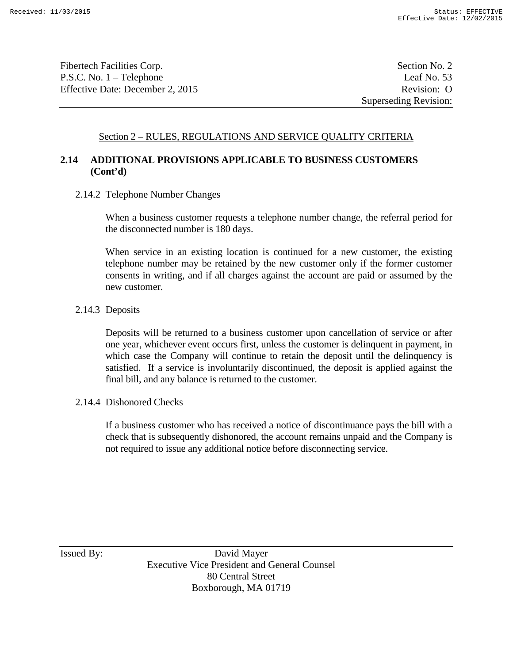Fibertech Facilities Corp. Section No. 2 P.S.C. No. 1 – Telephone Leaf No. 53 Effective Date: December 2, 2015 Revision: O

Superseding Revision:

### Section 2 – RULES, REGULATIONS AND SERVICE QUALITY CRITERIA

# **2.14 ADDITIONAL PROVISIONS APPLICABLE TO BUSINESS CUSTOMERS (Cont'd)**

2.14.2 Telephone Number Changes

When a business customer requests a telephone number change, the referral period for the disconnected number is 180 days.

When service in an existing location is continued for a new customer, the existing telephone number may be retained by the new customer only if the former customer consents in writing, and if all charges against the account are paid or assumed by the new customer.

#### 2.14.3 Deposits

Deposits will be returned to a business customer upon cancellation of service or after one year, whichever event occurs first, unless the customer is delinquent in payment, in which case the Company will continue to retain the deposit until the delinquency is satisfied. If a service is involuntarily discontinued, the deposit is applied against the final bill, and any balance is returned to the customer.

#### 2.14.4 Dishonored Checks

If a business customer who has received a notice of discontinuance pays the bill with a check that is subsequently dishonored, the account remains unpaid and the Company is not required to issue any additional notice before disconnecting service.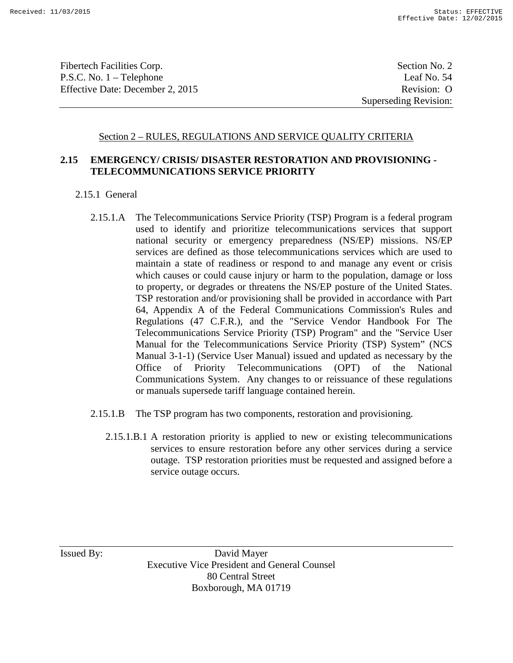Fibertech Facilities Corp. Section No. 2 P.S.C. No. 1 – Telephone Leaf No. 54 Effective Date: December 2, 2015 Revision: O

Superseding Revision:

#### Section 2 – RULES, REGULATIONS AND SERVICE QUALITY CRITERIA

# **2.15 EMERGENCY/ CRISIS/ DISASTER RESTORATION AND PROVISIONING - TELECOMMUNICATIONS SERVICE PRIORITY**

- 2.15.1 General
	- 2.15.1.A The Telecommunications Service Priority (TSP) Program is a federal program used to identify and prioritize telecommunications services that support national security or emergency preparedness (NS/EP) missions. NS/EP services are defined as those telecommunications services which are used to maintain a state of readiness or respond to and manage any event or crisis which causes or could cause injury or harm to the population, damage or loss to property, or degrades or threatens the NS/EP posture of the United States. TSP restoration and/or provisioning shall be provided in accordance with Part 64, Appendix A of the Federal Communications Commission's Rules and Regulations (47 C.F.R.), and the "Service Vendor Handbook For The Telecommunications Service Priority (TSP) Program" and the "Service User Manual for the Telecommunications Service Priority (TSP) System" (NCS Manual 3-1-1) (Service User Manual) issued and updated as necessary by the Office of Priority Telecommunications (OPT) of the National Communications System. Any changes to or reissuance of these regulations or manuals supersede tariff language contained herein.
	- 2.15.1.B The TSP program has two components, restoration and provisioning.
		- 2.15.1.B.1 A restoration priority is applied to new or existing telecommunications services to ensure restoration before any other services during a service outage. TSP restoration priorities must be requested and assigned before a service outage occurs.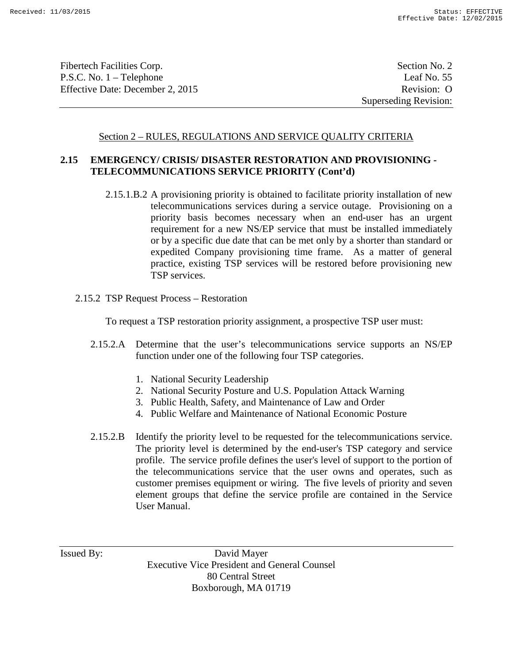Fibertech Facilities Corp. Section No. 2 P.S.C. No. 1 – Telephone Leaf No. 55 Effective Date: December 2, 2015 Revision: O

Superseding Revision:

#### Section 2 – RULES, REGULATIONS AND SERVICE QUALITY CRITERIA

### **2.15 EMERGENCY/ CRISIS/ DISASTER RESTORATION AND PROVISIONING - TELECOMMUNICATIONS SERVICE PRIORITY (Cont'd)**

- 2.15.1.B.2 A provisioning priority is obtained to facilitate priority installation of new telecommunications services during a service outage. Provisioning on a priority basis becomes necessary when an end-user has an urgent requirement for a new NS/EP service that must be installed immediately or by a specific due date that can be met only by a shorter than standard or expedited Company provisioning time frame. As a matter of general practice, existing TSP services will be restored before provisioning new TSP services.
- 2.15.2 TSP Request Process Restoration

To request a TSP restoration priority assignment, a prospective TSP user must:

- 2.15.2.A Determine that the user's telecommunications service supports an NS/EP function under one of the following four TSP categories.
	- 1. National Security Leadership
	- 2. National Security Posture and U.S. Population Attack Warning
	- 3. Public Health, Safety, and Maintenance of Law and Order
	- 4. Public Welfare and Maintenance of National Economic Posture
- 2.15.2.B Identify the priority level to be requested for the telecommunications service. The priority level is determined by the end-user's TSP category and service profile. The service profile defines the user's level of support to the portion of the telecommunications service that the user owns and operates, such as customer premises equipment or wiring. The five levels of priority and seven element groups that define the service profile are contained in the Service User Manual.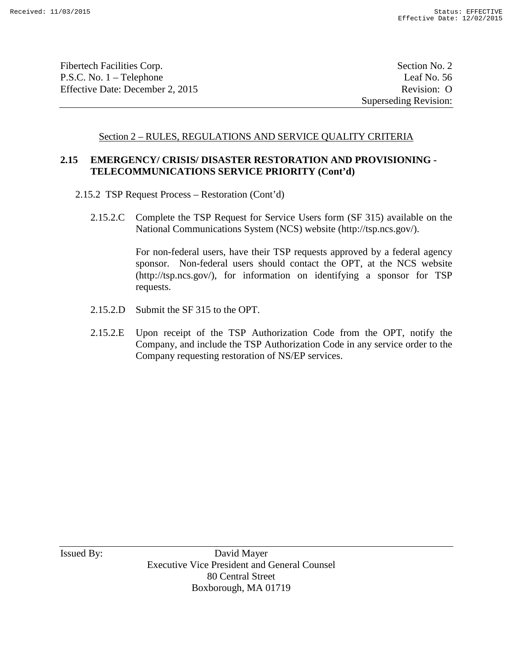Fibertech Facilities Corp. Section No. 2 P.S.C. No. 1 – Telephone Leaf No. 56 Effective Date: December 2, 2015 Revision: O

Superseding Revision:

#### Section 2 – RULES, REGULATIONS AND SERVICE QUALITY CRITERIA

# **2.15 EMERGENCY/ CRISIS/ DISASTER RESTORATION AND PROVISIONING - TELECOMMUNICATIONS SERVICE PRIORITY (Cont'd)**

- 2.15.2 TSP Request Process Restoration (Cont'd)
	- 2.15.2.C Complete the TSP Request for Service Users form (SF 315) available on the National Communications System (NCS) website (http://tsp.ncs.gov/).

For non-federal users, have their TSP requests approved by a federal agency sponsor. Non-federal users should contact the OPT, at the NCS website (http://tsp.ncs.gov/), for information on identifying a sponsor for TSP requests.

- 2.15.2.D Submit the SF 315 to the OPT.
- 2.15.2.E Upon receipt of the TSP Authorization Code from the OPT, notify the Company, and include the TSP Authorization Code in any service order to the Company requesting restoration of NS/EP services.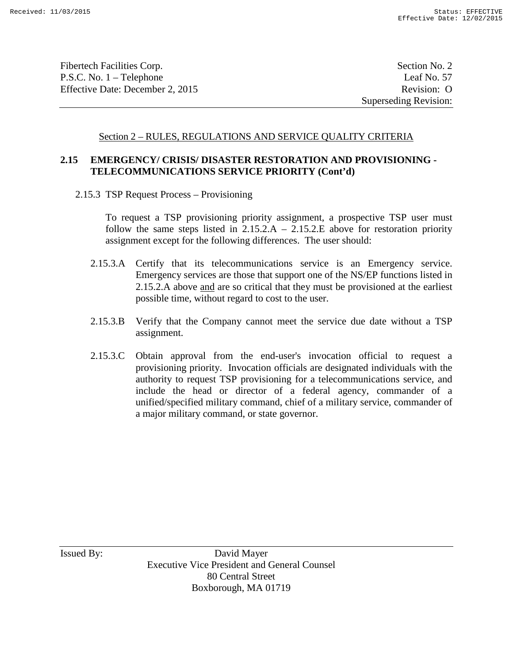Fibertech Facilities Corp. Section No. 2 P.S.C. No. 1 – Telephone Leaf No. 57 Effective Date: December 2, 2015 Revision: O

Superseding Revision:

### Section 2 – RULES, REGULATIONS AND SERVICE QUALITY CRITERIA

# **2.15 EMERGENCY/ CRISIS/ DISASTER RESTORATION AND PROVISIONING - TELECOMMUNICATIONS SERVICE PRIORITY (Cont'd)**

2.15.3 TSP Request Process – Provisioning

To request a TSP provisioning priority assignment, a prospective TSP user must follow the same steps listed in  $2.15.2.A - 2.15.2.E$  above for restoration priority assignment except for the following differences. The user should:

- 2.15.3.A Certify that its telecommunications service is an Emergency service. Emergency services are those that support one of the NS/EP functions listed in 2.15.2.A above and are so critical that they must be provisioned at the earliest possible time, without regard to cost to the user.
- 2.15.3.B Verify that the Company cannot meet the service due date without a TSP assignment.
- 2.15.3.C Obtain approval from the end-user's invocation official to request a provisioning priority. Invocation officials are designated individuals with the authority to request TSP provisioning for a telecommunications service, and include the head or director of a federal agency, commander of a unified/specified military command, chief of a military service, commander of a major military command, or state governor.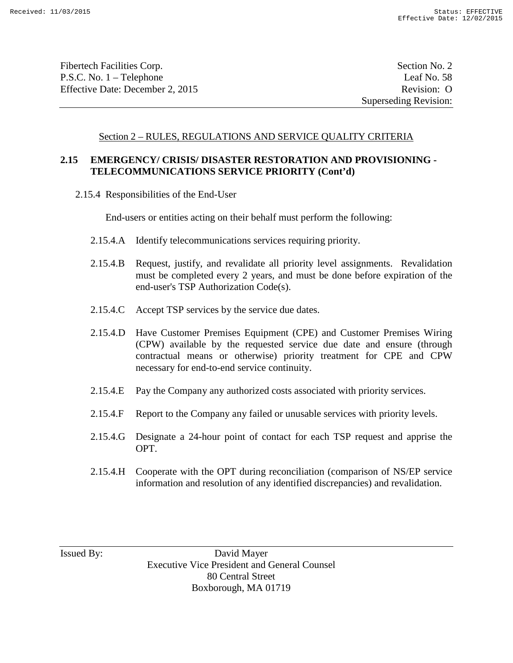Fibertech Facilities Corp. Section No. 2 P.S.C. No. 1 – Telephone Leaf No. 58 Effective Date: December 2, 2015 Revision: O

Superseding Revision:

#### Section 2 – RULES, REGULATIONS AND SERVICE QUALITY CRITERIA

# **2.15 EMERGENCY/ CRISIS/ DISASTER RESTORATION AND PROVISIONING - TELECOMMUNICATIONS SERVICE PRIORITY (Cont'd)**

2.15.4 Responsibilities of the End-User

End-users or entities acting on their behalf must perform the following:

- 2.15.4.A Identify telecommunications services requiring priority.
- 2.15.4.B Request, justify, and revalidate all priority level assignments. Revalidation must be completed every 2 years, and must be done before expiration of the end-user's TSP Authorization Code(s).
- 2.15.4.C Accept TSP services by the service due dates.
- 2.15.4.D Have Customer Premises Equipment (CPE) and Customer Premises Wiring (CPW) available by the requested service due date and ensure (through contractual means or otherwise) priority treatment for CPE and CPW necessary for end-to-end service continuity.
- 2.15.4.E Pay the Company any authorized costs associated with priority services.
- 2.15.4.F Report to the Company any failed or unusable services with priority levels.
- 2.15.4.G Designate a 24-hour point of contact for each TSP request and apprise the OPT.
- 2.15.4.H Cooperate with the OPT during reconciliation (comparison of NS/EP service information and resolution of any identified discrepancies) and revalidation.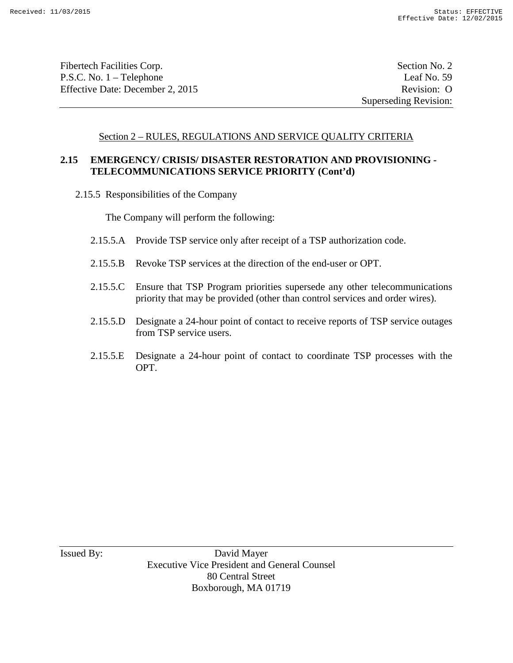Fibertech Facilities Corp. Section No. 2 P.S.C. No. 1 – Telephone Leaf No. 59 Effective Date: December 2, 2015 Revision: O

Superseding Revision:

#### Section 2 – RULES, REGULATIONS AND SERVICE QUALITY CRITERIA

### **2.15 EMERGENCY/ CRISIS/ DISASTER RESTORATION AND PROVISIONING - TELECOMMUNICATIONS SERVICE PRIORITY (Cont'd)**

2.15.5 Responsibilities of the Company

The Company will perform the following:

- 2.15.5.A Provide TSP service only after receipt of a TSP authorization code.
- 2.15.5.B Revoke TSP services at the direction of the end-user or OPT.
- 2.15.5.C Ensure that TSP Program priorities supersede any other telecommunications priority that may be provided (other than control services and order wires).
- 2.15.5.D Designate a 24-hour point of contact to receive reports of TSP service outages from TSP service users.
- 2.15.5.E Designate a 24-hour point of contact to coordinate TSP processes with the OPT.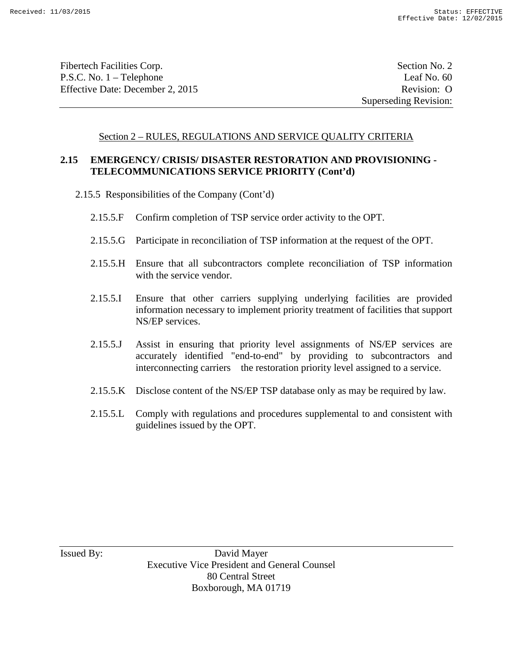Fibertech Facilities Corp. Section No. 2 P.S.C. No. 1 – Telephone Leaf No. 60 Effective Date: December 2, 2015 Revision: O

Superseding Revision:

#### Section 2 – RULES, REGULATIONS AND SERVICE QUALITY CRITERIA

### **2.15 EMERGENCY/ CRISIS/ DISASTER RESTORATION AND PROVISIONING - TELECOMMUNICATIONS SERVICE PRIORITY (Cont'd)**

- 2.15.5 Responsibilities of the Company (Cont'd)
	- 2.15.5.F Confirm completion of TSP service order activity to the OPT.
	- 2.15.5.G Participate in reconciliation of TSP information at the request of the OPT.
	- 2.15.5.H Ensure that all subcontractors complete reconciliation of TSP information with the service vendor.
	- 2.15.5.I Ensure that other carriers supplying underlying facilities are provided information necessary to implement priority treatment of facilities that support NS/EP services.
	- 2.15.5.J Assist in ensuring that priority level assignments of NS/EP services are accurately identified "end-to-end" by providing to subcontractors and interconnecting carriers the restoration priority level assigned to a service.
	- 2.15.5.K Disclose content of the NS/EP TSP database only as may be required by law.
	- 2.15.5.L Comply with regulations and procedures supplemental to and consistent with guidelines issued by the OPT.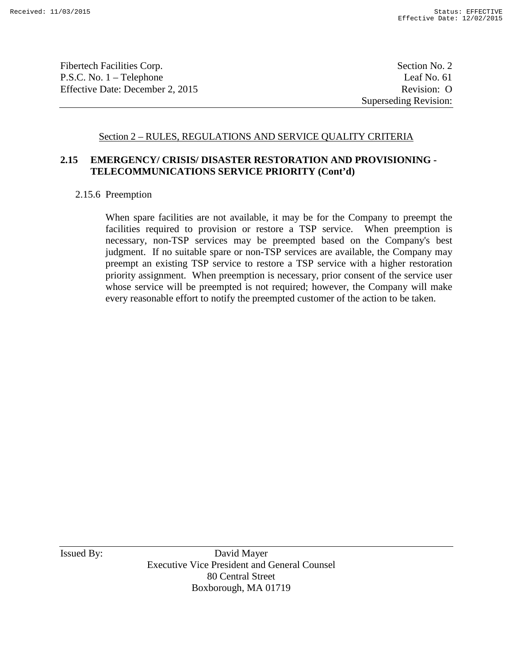Fibertech Facilities Corp. Section No. 2 P.S.C. No. 1 – Telephone Leaf No. 61 Effective Date: December 2, 2015 Revision: O

Superseding Revision:

### Section 2 – RULES, REGULATIONS AND SERVICE QUALITY CRITERIA

# **2.15 EMERGENCY/ CRISIS/ DISASTER RESTORATION AND PROVISIONING - TELECOMMUNICATIONS SERVICE PRIORITY (Cont'd)**

#### 2.15.6 Preemption

When spare facilities are not available, it may be for the Company to preempt the facilities required to provision or restore a TSP service. When preemption is necessary, non-TSP services may be preempted based on the Company's best judgment. If no suitable spare or non-TSP services are available, the Company may preempt an existing TSP service to restore a TSP service with a higher restoration priority assignment. When preemption is necessary, prior consent of the service user whose service will be preempted is not required; however, the Company will make every reasonable effort to notify the preempted customer of the action to be taken.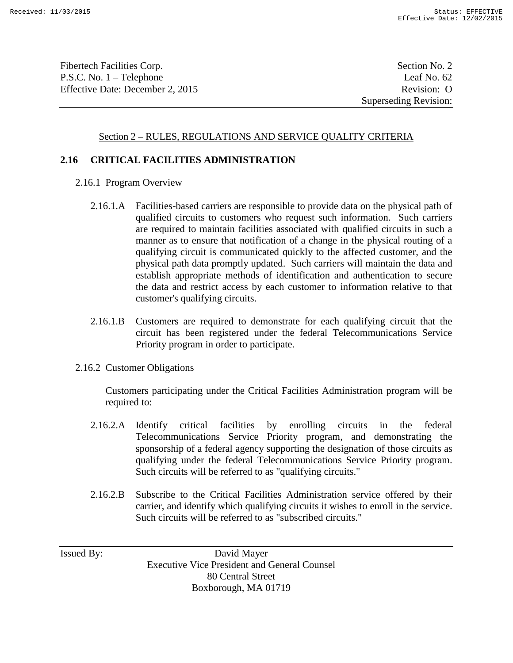Fibertech Facilities Corp. Section No. 2 P.S.C. No. 1 – Telephone Leaf No. 62 Effective Date: December 2, 2015 Revision: O

Superseding Revision:

#### Section 2 – RULES, REGULATIONS AND SERVICE QUALITY CRITERIA

#### **2.16 CRITICAL FACILITIES ADMINISTRATION**

- 2.16.1 Program Overview
	- 2.16.1.A Facilities-based carriers are responsible to provide data on the physical path of qualified circuits to customers who request such information. Such carriers are required to maintain facilities associated with qualified circuits in such a manner as to ensure that notification of a change in the physical routing of a qualifying circuit is communicated quickly to the affected customer, and the physical path data promptly updated. Such carriers will maintain the data and establish appropriate methods of identification and authentication to secure the data and restrict access by each customer to information relative to that customer's qualifying circuits.
	- 2.16.1.B Customers are required to demonstrate for each qualifying circuit that the circuit has been registered under the federal Telecommunications Service Priority program in order to participate.
- 2.16.2 Customer Obligations

Customers participating under the Critical Facilities Administration program will be required to:

- 2.16.2.A Identify critical facilities by enrolling circuits in the federal Telecommunications Service Priority program, and demonstrating the sponsorship of a federal agency supporting the designation of those circuits as qualifying under the federal Telecommunications Service Priority program. Such circuits will be referred to as "qualifying circuits."
- 2.16.2.B Subscribe to the Critical Facilities Administration service offered by their carrier, and identify which qualifying circuits it wishes to enroll in the service. Such circuits will be referred to as "subscribed circuits."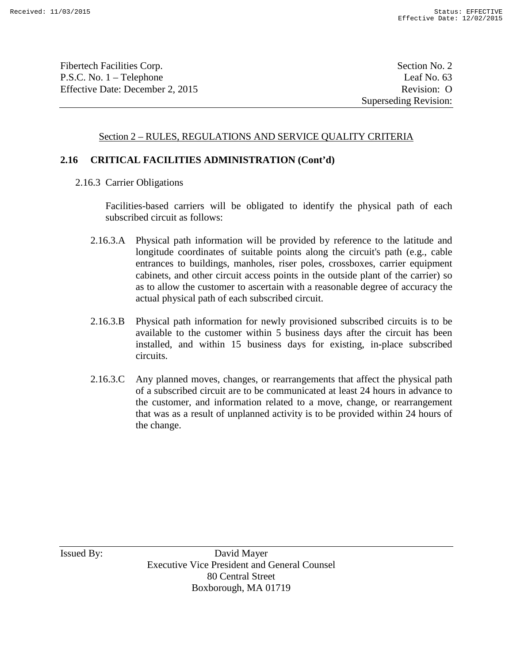Fibertech Facilities Corp. Section No. 2 P.S.C. No. 1 – Telephone Leaf No. 63 Effective Date: December 2, 2015 Revision: O

### Section 2 – RULES, REGULATIONS AND SERVICE QUALITY CRITERIA

#### **2.16 CRITICAL FACILITIES ADMINISTRATION (Cont'd)**

2.16.3 Carrier Obligations

Facilities-based carriers will be obligated to identify the physical path of each subscribed circuit as follows:

- 2.16.3.A Physical path information will be provided by reference to the latitude and longitude coordinates of suitable points along the circuit's path (e.g., cable entrances to buildings, manholes, riser poles, crossboxes, carrier equipment cabinets, and other circuit access points in the outside plant of the carrier) so as to allow the customer to ascertain with a reasonable degree of accuracy the actual physical path of each subscribed circuit.
- 2.16.3.B Physical path information for newly provisioned subscribed circuits is to be available to the customer within 5 business days after the circuit has been installed, and within 15 business days for existing, in-place subscribed circuits.
- 2.16.3.C Any planned moves, changes, or rearrangements that affect the physical path of a subscribed circuit are to be communicated at least 24 hours in advance to the customer, and information related to a move, change, or rearrangement that was as a result of unplanned activity is to be provided within 24 hours of the change.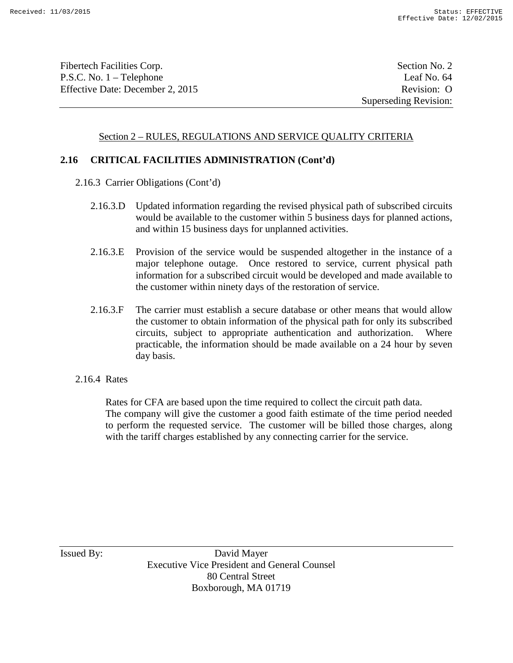Fibertech Facilities Corp. Section No. 2 P.S.C. No. 1 – Telephone Leaf No. 64 Effective Date: December 2, 2015 Revision: O

### Section 2 – RULES, REGULATIONS AND SERVICE QUALITY CRITERIA

### **2.16 CRITICAL FACILITIES ADMINISTRATION (Cont'd)**

- 2.16.3 Carrier Obligations (Cont'd)
	- 2.16.3.D Updated information regarding the revised physical path of subscribed circuits would be available to the customer within 5 business days for planned actions, and within 15 business days for unplanned activities.
	- 2.16.3.E Provision of the service would be suspended altogether in the instance of a major telephone outage. Once restored to service, current physical path information for a subscribed circuit would be developed and made available to the customer within ninety days of the restoration of service.
	- 2.16.3.F The carrier must establish a secure database or other means that would allow the customer to obtain information of the physical path for only its subscribed circuits, subject to appropriate authentication and authorization. Where practicable, the information should be made available on a 24 hour by seven day basis.
- 2.16.4 Rates

Rates for CFA are based upon the time required to collect the circuit path data. The company will give the customer a good faith estimate of the time period needed to perform the requested service. The customer will be billed those charges, along with the tariff charges established by any connecting carrier for the service.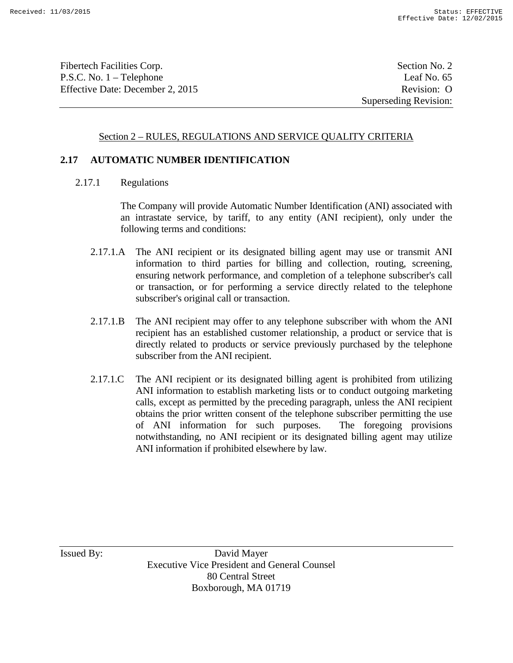Fibertech Facilities Corp. Section No. 2 P.S.C. No. 1 – Telephone Leaf No. 65 Effective Date: December 2, 2015 Revision: O

Superseding Revision:

### Section 2 – RULES, REGULATIONS AND SERVICE QUALITY CRITERIA

#### **2.17 AUTOMATIC NUMBER IDENTIFICATION**

2.17.1 Regulations

The Company will provide Automatic Number Identification (ANI) associated with an intrastate service, by tariff, to any entity (ANI recipient), only under the following terms and conditions:

- 2.17.1.A The ANI recipient or its designated billing agent may use or transmit ANI information to third parties for billing and collection, routing, screening, ensuring network performance, and completion of a telephone subscriber's call or transaction, or for performing a service directly related to the telephone subscriber's original call or transaction.
- 2.17.1.B The ANI recipient may offer to any telephone subscriber with whom the ANI recipient has an established customer relationship, a product or service that is directly related to products or service previously purchased by the telephone subscriber from the ANI recipient.
- 2.17.1.C The ANI recipient or its designated billing agent is prohibited from utilizing ANI information to establish marketing lists or to conduct outgoing marketing calls, except as permitted by the preceding paragraph, unless the ANI recipient obtains the prior written consent of the telephone subscriber permitting the use of ANI information for such purposes. The foregoing provisions notwithstanding, no ANI recipient or its designated billing agent may utilize ANI information if prohibited elsewhere by law.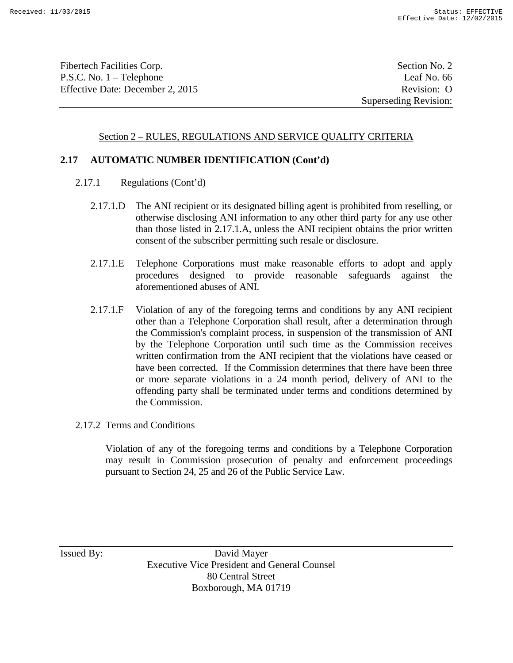Fibertech Facilities Corp. Section No. 2 P.S.C. No. 1 – Telephone Leaf No. 66 Effective Date: December 2, 2015 Revision: O

### Section 2 – RULES, REGULATIONS AND SERVICE QUALITY CRITERIA

### **2.17 AUTOMATIC NUMBER IDENTIFICATION (Cont'd)**

- 2.17.1 Regulations (Cont'd)
	- 2.17.1.D The ANI recipient or its designated billing agent is prohibited from reselling, or otherwise disclosing ANI information to any other third party for any use other than those listed in 2.17.1.A, unless the ANI recipient obtains the prior written consent of the subscriber permitting such resale or disclosure.
	- 2.17.1.E Telephone Corporations must make reasonable efforts to adopt and apply procedures designed to provide reasonable safeguards against the aforementioned abuses of ANI.
	- 2.17.1.F Violation of any of the foregoing terms and conditions by any ANI recipient other than a Telephone Corporation shall result, after a determination through the Commission's complaint process, in suspension of the transmission of ANI by the Telephone Corporation until such time as the Commission receives written confirmation from the ANI recipient that the violations have ceased or have been corrected. If the Commission determines that there have been three or more separate violations in a 24 month period, delivery of ANI to the offending party shall be terminated under terms and conditions determined by the Commission.
- 2.17.2 Terms and Conditions

Violation of any of the foregoing terms and conditions by a Telephone Corporation may result in Commission prosecution of penalty and enforcement proceedings pursuant to Section 24, 25 and 26 of the Public Service Law.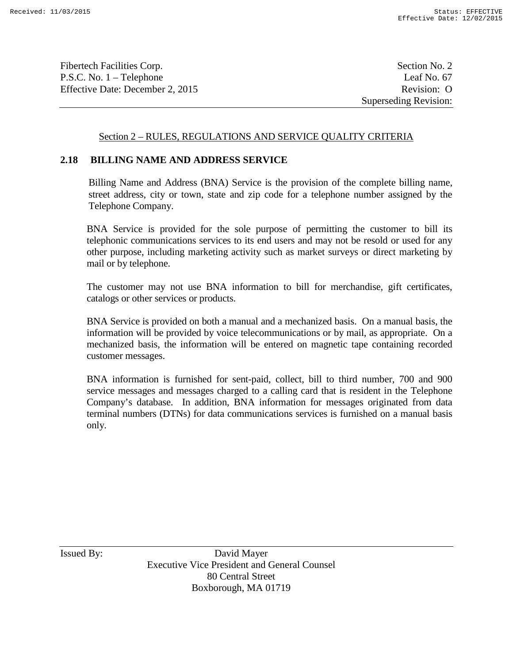Fibertech Facilities Corp. Section No. 2 P.S.C. No. 1 – Telephone Leaf No. 67 Effective Date: December 2, 2015 Revision: O

Superseding Revision:

#### Section 2 – RULES, REGULATIONS AND SERVICE QUALITY CRITERIA

#### **2.18 BILLING NAME AND ADDRESS SERVICE**

Billing Name and Address (BNA) Service is the provision of the complete billing name, street address, city or town, state and zip code for a telephone number assigned by the Telephone Company.

BNA Service is provided for the sole purpose of permitting the customer to bill its telephonic communications services to its end users and may not be resold or used for any other purpose, including marketing activity such as market surveys or direct marketing by mail or by telephone.

The customer may not use BNA information to bill for merchandise, gift certificates, catalogs or other services or products.

BNA Service is provided on both a manual and a mechanized basis. On a manual basis, the information will be provided by voice telecommunications or by mail, as appropriate. On a mechanized basis, the information will be entered on magnetic tape containing recorded customer messages.

BNA information is furnished for sent-paid, collect, bill to third number, 700 and 900 service messages and messages charged to a calling card that is resident in the Telephone Company's database. In addition, BNA information for messages originated from data terminal numbers (DTNs) for data communications services is furnished on a manual basis only.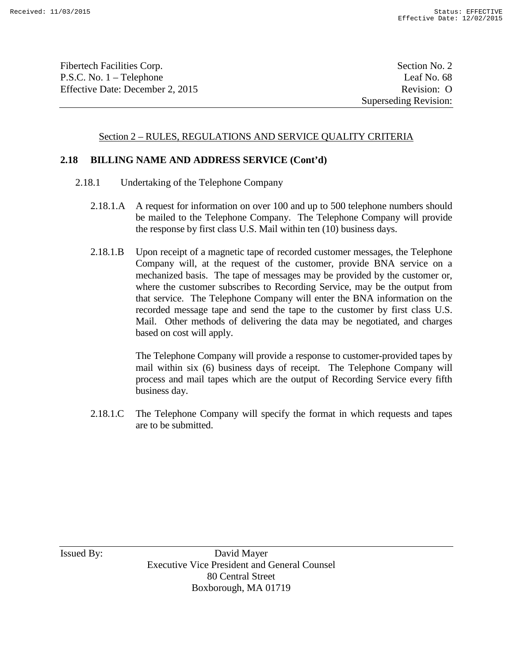Fibertech Facilities Corp. Section No. 2 P.S.C. No. 1 – Telephone Leaf No. 68 Effective Date: December 2, 2015 Revision: O

Superseding Revision:

#### Section 2 – RULES, REGULATIONS AND SERVICE QUALITY CRITERIA

#### **2.18 BILLING NAME AND ADDRESS SERVICE (Cont'd)**

- 2.18.1 Undertaking of the Telephone Company
	- 2.18.1.A A request for information on over 100 and up to 500 telephone numbers should be mailed to the Telephone Company. The Telephone Company will provide the response by first class U.S. Mail within ten (10) business days.
	- 2.18.1.B Upon receipt of a magnetic tape of recorded customer messages, the Telephone Company will, at the request of the customer, provide BNA service on a mechanized basis. The tape of messages may be provided by the customer or, where the customer subscribes to Recording Service, may be the output from that service. The Telephone Company will enter the BNA information on the recorded message tape and send the tape to the customer by first class U.S. Mail. Other methods of delivering the data may be negotiated, and charges based on cost will apply.

The Telephone Company will provide a response to customer-provided tapes by mail within six (6) business days of receipt. The Telephone Company will process and mail tapes which are the output of Recording Service every fifth business day.

2.18.1.C The Telephone Company will specify the format in which requests and tapes are to be submitted.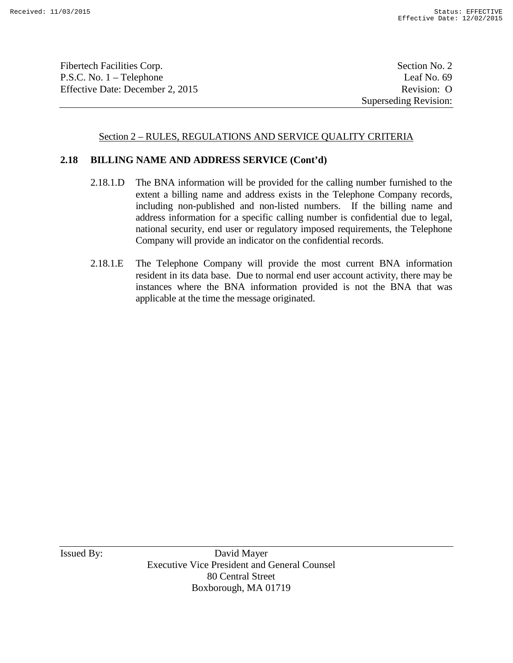Fibertech Facilities Corp. Section No. 2 P.S.C. No. 1 – Telephone Leaf No. 69 Effective Date: December 2, 2015 Revision: O

Superseding Revision:

### Section 2 – RULES, REGULATIONS AND SERVICE QUALITY CRITERIA

#### **2.18 BILLING NAME AND ADDRESS SERVICE (Cont'd)**

- 2.18.1.D The BNA information will be provided for the calling number furnished to the extent a billing name and address exists in the Telephone Company records, including non-published and non-listed numbers. If the billing name and address information for a specific calling number is confidential due to legal, national security, end user or regulatory imposed requirements, the Telephone Company will provide an indicator on the confidential records.
- 2.18.1.E The Telephone Company will provide the most current BNA information resident in its data base. Due to normal end user account activity, there may be instances where the BNA information provided is not the BNA that was applicable at the time the message originated.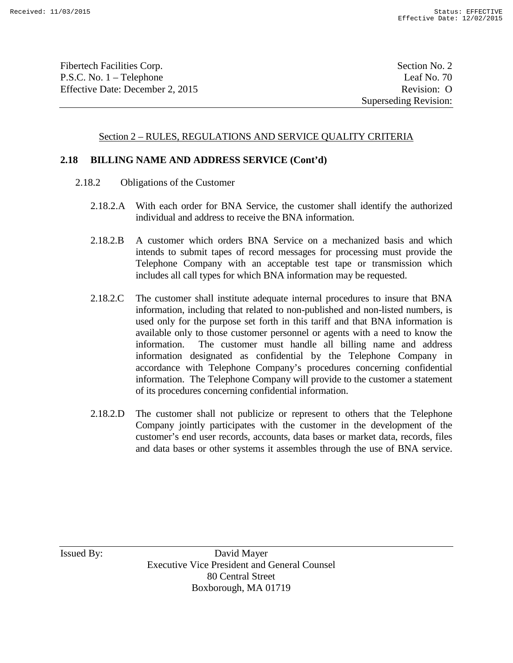Fibertech Facilities Corp. Section No. 2 P.S.C. No. 1 – Telephone Leaf No. 70 Effective Date: December 2, 2015 Revision: O

### Section 2 – RULES, REGULATIONS AND SERVICE QUALITY CRITERIA

#### **2.18 BILLING NAME AND ADDRESS SERVICE (Cont'd)**

- 2.18.2 Obligations of the Customer
	- 2.18.2.A With each order for BNA Service, the customer shall identify the authorized individual and address to receive the BNA information.
	- 2.18.2.B A customer which orders BNA Service on a mechanized basis and which intends to submit tapes of record messages for processing must provide the Telephone Company with an acceptable test tape or transmission which includes all call types for which BNA information may be requested.
	- 2.18.2.C The customer shall institute adequate internal procedures to insure that BNA information, including that related to non-published and non-listed numbers, is used only for the purpose set forth in this tariff and that BNA information is available only to those customer personnel or agents with a need to know the information. The customer must handle all billing name and address information designated as confidential by the Telephone Company in accordance with Telephone Company's procedures concerning confidential information. The Telephone Company will provide to the customer a statement of its procedures concerning confidential information.
	- 2.18.2.D The customer shall not publicize or represent to others that the Telephone Company jointly participates with the customer in the development of the customer's end user records, accounts, data bases or market data, records, files and data bases or other systems it assembles through the use of BNA service.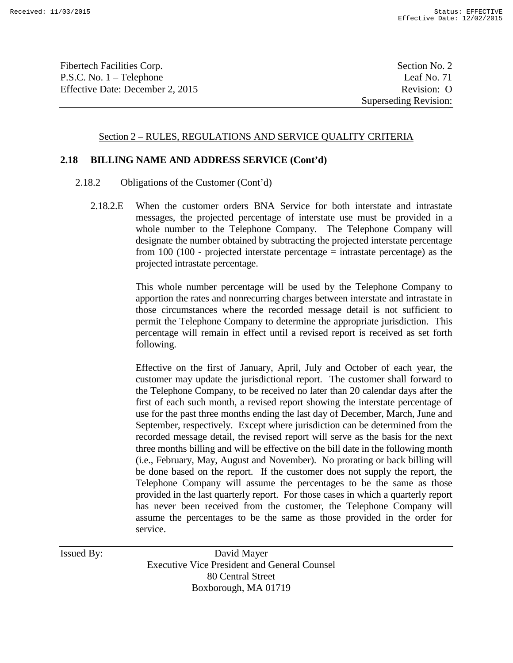Fibertech Facilities Corp. Section No. 2 P.S.C. No. 1 – Telephone Leaf No. 71 Effective Date: December 2, 2015 Revision: O

#### Section 2 – RULES, REGULATIONS AND SERVICE QUALITY CRITERIA

#### **2.18 BILLING NAME AND ADDRESS SERVICE (Cont'd)**

- 2.18.2 Obligations of the Customer (Cont'd)
	- 2.18.2.E When the customer orders BNA Service for both interstate and intrastate messages, the projected percentage of interstate use must be provided in a whole number to the Telephone Company. The Telephone Company will designate the number obtained by subtracting the projected interstate percentage from  $100$  ( $100$  - projected interstate percentage = intrastate percentage) as the projected intrastate percentage.

This whole number percentage will be used by the Telephone Company to apportion the rates and nonrecurring charges between interstate and intrastate in those circumstances where the recorded message detail is not sufficient to permit the Telephone Company to determine the appropriate jurisdiction. This percentage will remain in effect until a revised report is received as set forth following.

Effective on the first of January, April, July and October of each year, the customer may update the jurisdictional report. The customer shall forward to the Telephone Company, to be received no later than 20 calendar days after the first of each such month, a revised report showing the interstate percentage of use for the past three months ending the last day of December, March, June and September, respectively. Except where jurisdiction can be determined from the recorded message detail, the revised report will serve as the basis for the next three months billing and will be effective on the bill date in the following month (i.e., February, May, August and November). No prorating or back billing will be done based on the report. If the customer does not supply the report, the Telephone Company will assume the percentages to be the same as those provided in the last quarterly report. For those cases in which a quarterly report has never been received from the customer, the Telephone Company will assume the percentages to be the same as those provided in the order for service.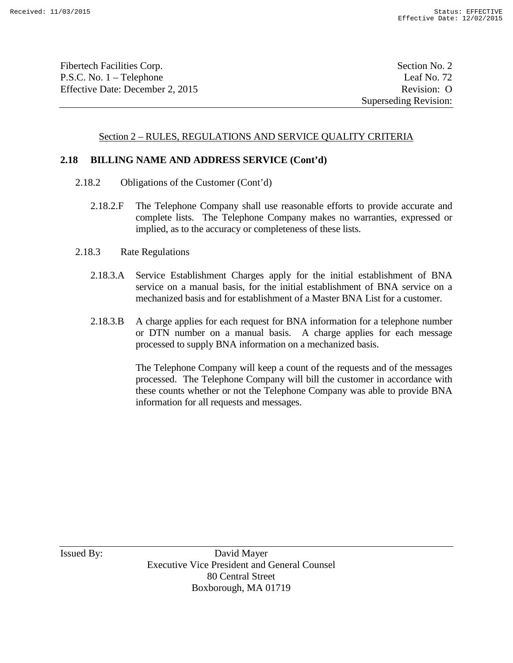Fibertech Facilities Corp. Section No. 2 P.S.C. No. 1 – Telephone Leaf No. 72 Effective Date: December 2, 2015 Revision: O

### Section 2 – RULES, REGULATIONS AND SERVICE QUALITY CRITERIA

#### **2.18 BILLING NAME AND ADDRESS SERVICE (Cont'd)**

- 2.18.2 Obligations of the Customer (Cont'd)
	- 2.18.2.F The Telephone Company shall use reasonable efforts to provide accurate and complete lists. The Telephone Company makes no warranties, expressed or implied, as to the accuracy or completeness of these lists.
- 2.18.3 Rate Regulations
	- 2.18.3.A Service Establishment Charges apply for the initial establishment of BNA service on a manual basis, for the initial establishment of BNA service on a mechanized basis and for establishment of a Master BNA List for a customer.
	- 2.18.3.B A charge applies for each request for BNA information for a telephone number or DTN number on a manual basis. A charge applies for each message processed to supply BNA information on a mechanized basis.

The Telephone Company will keep a count of the requests and of the messages processed. The Telephone Company will bill the customer in accordance with these counts whether or not the Telephone Company was able to provide BNA information for all requests and messages.